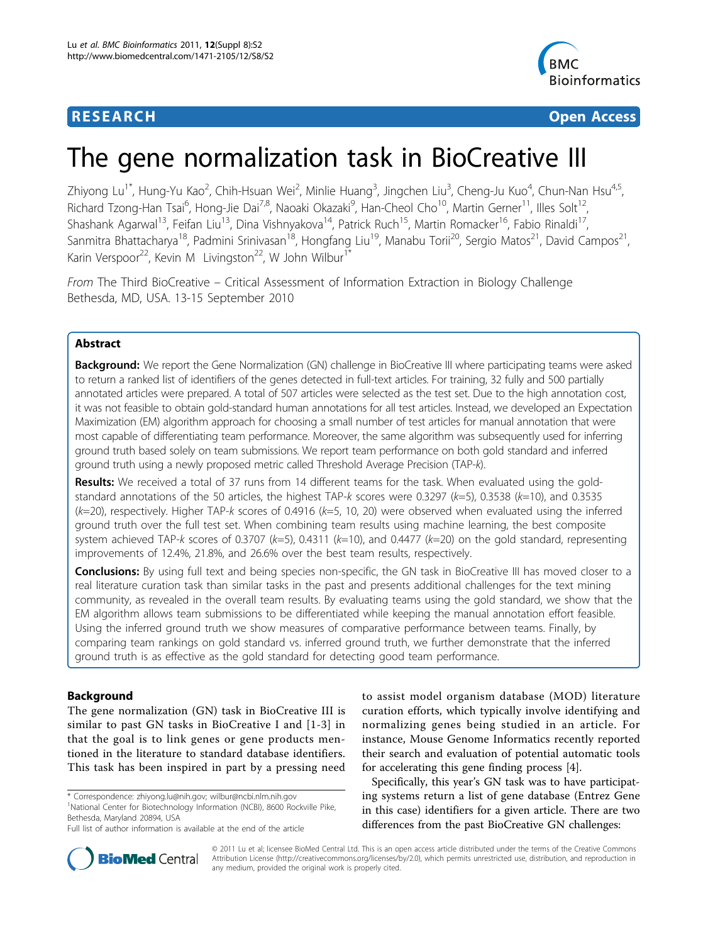

**RESEARCH CONSTRUCTION CONSTRUCTS** 

# The gene normalization task in BioCreative III

Zhiyong Lu<sup>1\*</sup>, Hung-Yu Kao<sup>2</sup>, Chih-Hsuan Wei<sup>2</sup>, Minlie Huang<sup>3</sup>, Jingchen Liu<sup>3</sup>, Cheng-Ju Kuo<sup>4</sup>, Chun-Nan Hsu<sup>4,5</sup>, Richard Tzong-Han Tsai<sup>6</sup>, Hong-Jie Dai<sup>7,8</sup>, Naoaki Okazaki<sup>9</sup>, Han-Cheol Cho<sup>10</sup>, Martin Gerner<sup>11</sup>, Illes Solt<sup>12</sup>, Shashank Agarwal<sup>13</sup>, Feifan Liu<sup>13</sup>, Dina Vishnyakova<sup>14</sup>, Patrick Ruch<sup>15</sup>, Martin Romacker<sup>16</sup>, Fabio Rinaldi<sup>17</sup>, Sanmitra Bhattacharya<sup>18</sup>, Padmini Srinivasan<sup>18</sup>, Hongfang Liu<sup>19</sup>, Manabu Torii<sup>20</sup>, Sergio Matos<sup>21</sup>, David Campos<sup>21</sup>, Karin Verspoor<sup>22</sup>, Kevin M Livingston<sup>22</sup>, W John Wilbur<sup>1\*</sup>

From The Third BioCreative – Critical Assessment of Information Extraction in Biology Challenge Bethesda, MD, USA. 13-15 September 2010

# Abstract

**Background:** We report the Gene Normalization (GN) challenge in BioCreative III where participating teams were asked to return a ranked list of identifiers of the genes detected in full-text articles. For training, 32 fully and 500 partially annotated articles were prepared. A total of 507 articles were selected as the test set. Due to the high annotation cost, it was not feasible to obtain gold-standard human annotations for all test articles. Instead, we developed an Expectation Maximization (EM) algorithm approach for choosing a small number of test articles for manual annotation that were most capable of differentiating team performance. Moreover, the same algorithm was subsequently used for inferring ground truth based solely on team submissions. We report team performance on both gold standard and inferred ground truth using a newly proposed metric called Threshold Average Precision (TAP-k).

Results: We received a total of 37 runs from 14 different teams for the task. When evaluated using the goldstandard annotations of the 50 articles, the highest TAP-k scores were 0.3297 ( $k=5$ ), 0.3538 ( $k=10$ ), and 0.3535  $(k=20)$ , respectively. Higher TAP-k scores of 0.4916 ( $k=5$ , 10, 20) were observed when evaluated using the inferred ground truth over the full test set. When combining team results using machine learning, the best composite system achieved TAP-k scores of 0.3707 ( $k=5$ ), 0.4311 ( $k=10$ ), and 0.4477 ( $k=20$ ) on the gold standard, representing improvements of 12.4%, 21.8%, and 26.6% over the best team results, respectively.

**Conclusions:** By using full text and being species non-specific, the GN task in BioCreative III has moved closer to a real literature curation task than similar tasks in the past and presents additional challenges for the text mining community, as revealed in the overall team results. By evaluating teams using the gold standard, we show that the EM algorithm allows team submissions to be differentiated while keeping the manual annotation effort feasible. Using the inferred ground truth we show measures of comparative performance between teams. Finally, by comparing team rankings on gold standard vs. inferred ground truth, we further demonstrate that the inferred ground truth is as effective as the gold standard for detecting good team performance.

# Background

The gene normalization (GN) task in BioCreative III is similar to past GN tasks in BioCreative I and [\[1](#page-17-0)-[3](#page-17-0)] in that the goal is to link genes or gene products mentioned in the literature to standard database identifiers. This task has been inspired in part by a pressing need

\* Correspondence: [zhiyong.lu@nih.gov](mailto:zhiyong.lu@nih.gov); [wilbur@ncbi.nlm.nih.gov](mailto:wilbur@ncbi.nlm.nih.gov) <sup>1</sup>National Center for Biotechnology Information (NCBI), 8600 Rockville Pike, Bethesda, Maryland 20894, USA

to assist model organism database (MOD) literature curation efforts, which typically involve identifying and normalizing genes being studied in an article. For instance, Mouse Genome Informatics recently reported their search and evaluation of potential automatic tools for accelerating this gene finding process [[4](#page-17-0)].

Specifically, this year's GN task was to have participating systems return a list of gene database (Entrez Gene in this case) identifiers for a given article. There are two differences from the past BioCreative GN challenges:



© 2011 Lu et al; licensee BioMed Central Ltd. This is an open access article distributed under the terms of the Creative Commons Attribution License [\(http://creativecommons.org/licenses/by/2.0](http://creativecommons.org/licenses/by/2.0)), which permits unrestricted use, distribution, and reproduction in any medium, provided the original work is properly cited.

Full list of author information is available at the end of the article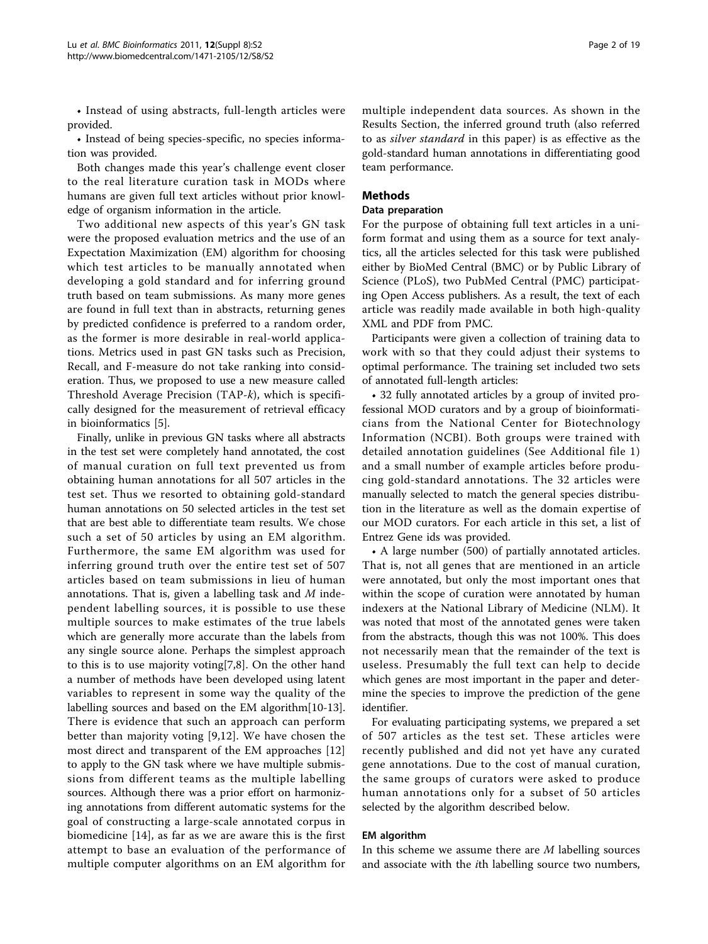• Instead of using abstracts, full-length articles were provided.

• Instead of being species-specific, no species information was provided.

Both changes made this year's challenge event closer to the real literature curation task in MODs where humans are given full text articles without prior knowledge of organism information in the article.

Two additional new aspects of this year's GN task were the proposed evaluation metrics and the use of an Expectation Maximization (EM) algorithm for choosing which test articles to be manually annotated when developing a gold standard and for inferring ground truth based on team submissions. As many more genes are found in full text than in abstracts, returning genes by predicted confidence is preferred to a random order, as the former is more desirable in real-world applications. Metrics used in past GN tasks such as Precision, Recall, and F-measure do not take ranking into consideration. Thus, we proposed to use a new measure called Threshold Average Precision (TAP-k), which is specifically designed for the measurement of retrieval efficacy in bioinformatics [[5\]](#page-17-0).

Finally, unlike in previous GN tasks where all abstracts in the test set were completely hand annotated, the cost of manual curation on full text prevented us from obtaining human annotations for all 507 articles in the test set. Thus we resorted to obtaining gold-standard human annotations on 50 selected articles in the test set that are best able to differentiate team results. We chose such a set of 50 articles by using an EM algorithm. Furthermore, the same EM algorithm was used for inferring ground truth over the entire test set of 507 articles based on team submissions in lieu of human annotations. That is, given a labelling task and  $M$  independent labelling sources, it is possible to use these multiple sources to make estimates of the true labels which are generally more accurate than the labels from any single source alone. Perhaps the simplest approach to this is to use majority voting[\[7](#page-17-0),[8](#page-17-0)]. On the other hand a number of methods have been developed using latent variables to represent in some way the quality of the labelling sources and based on the EM algorithm[\[10-13](#page-17-0)]. There is evidence that such an approach can perform better than majority voting [[9,12](#page-17-0)]. We have chosen the most direct and transparent of the EM approaches [\[12](#page-17-0)] to apply to the GN task where we have multiple submissions from different teams as the multiple labelling sources. Although there was a prior effort on harmonizing annotations from different automatic systems for the goal of constructing a large-scale annotated corpus in biomedicine [[14](#page-17-0)], as far as we are aware this is the first attempt to base an evaluation of the performance of multiple computer algorithms on an EM algorithm for Page 2 of 19

multiple independent data sources. As shown in the Results Section, the inferred ground truth (also referred to as silver standard in this paper) is as effective as the gold-standard human annotations in differentiating good team performance.

# Methods

#### Data preparation

For the purpose of obtaining full text articles in a uniform format and using them as a source for text analytics, all the articles selected for this task were published either by BioMed Central (BMC) or by Public Library of Science (PLoS), two PubMed Central (PMC) participating Open Access publishers. As a result, the text of each article was readily made available in both high-quality XML and PDF from PMC.

Participants were given a collection of training data to work with so that they could adjust their systems to optimal performance. The training set included two sets of annotated full-length articles:

• 32 fully annotated articles by a group of invited professional MOD curators and by a group of bioinformaticians from the National Center for Biotechnology Information (NCBI). Both groups were trained with detailed annotation guidelines (See Additional file [1](#page-16-0)) and a small number of example articles before producing gold-standard annotations. The 32 articles were manually selected to match the general species distribution in the literature as well as the domain expertise of our MOD curators. For each article in this set, a list of Entrez Gene ids was provided.

• A large number (500) of partially annotated articles. That is, not all genes that are mentioned in an article were annotated, but only the most important ones that within the scope of curation were annotated by human indexers at the National Library of Medicine (NLM). It was noted that most of the annotated genes were taken from the abstracts, though this was not 100%. This does not necessarily mean that the remainder of the text is useless. Presumably the full text can help to decide which genes are most important in the paper and determine the species to improve the prediction of the gene identifier.

For evaluating participating systems, we prepared a set of 507 articles as the test set. These articles were recently published and did not yet have any curated gene annotations. Due to the cost of manual curation, the same groups of curators were asked to produce human annotations only for a subset of 50 articles selected by the algorithm described below.

#### EM algorithm

In this scheme we assume there are  $M$  labelling sources and associate with the ith labelling source two numbers,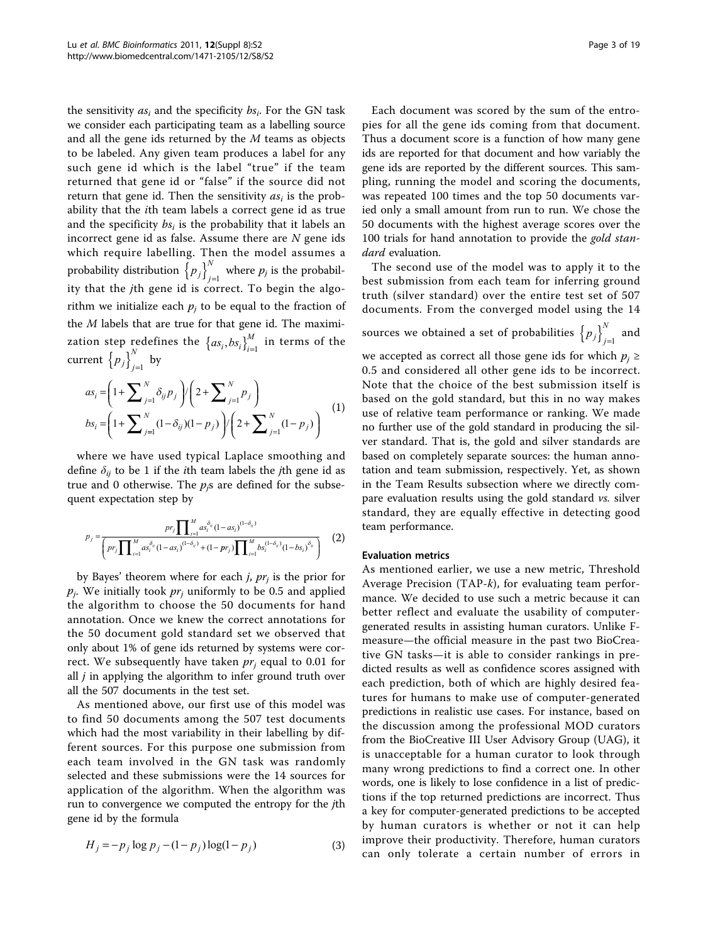the sensitivity  $as_i$  and the specificity  $bs_i$ . For the GN task we consider each participating team as a labelling source and all the gene ids returned by the  $M$  teams as objects to be labeled. Any given team produces a label for any such gene id which is the label "true" if the team returned that gene id or "false" if the source did not return that gene id. Then the sensitivity  $as_i$  is the probability that the ith team labels a correct gene id as true and the specificity  $bs_i$  is the probability that it labels an incorrect gene id as false. Assume there are  $N$  gene ids which require labelling. Then the model assumes a probability distribution  $\left\{p_j\right\}_{j=1}^N$  where  $p_j$  is the probability that the jth gene id is correct. To begin the algorithm we initialize each  $p_i$  to be equal to the fraction of the  $M$  labels that are true for that gene id. The maximization step redefines the  ${a s_i, b s_i}_{i=1}^M$  in terms of the current  $\left\{p_j\right\}_{j=1}^N$  by

$$
as_i = \left(1 + \sum_{j=1}^{N} \delta_{ij} p_j\right) / \left(2 + \sum_{j=1}^{N} p_j\right)
$$
  
\n
$$
bs_i = \left(1 + \sum_{j=1}^{N} (1 - \delta_{ij})(1 - p_j)\right) / \left(2 + \sum_{j=1}^{N} (1 - p_j)\right)
$$
 (1)

where we have used typical Laplace smoothing and define  $\delta_{ii}$  to be 1 if the *i*th team labels the *j*th gene id as true and 0 otherwise. The  $p_j$ s are defined for the subsequent expectation step by

$$
p_j = \frac{pr_j \prod_{i=1}^M a s_i^{\delta_{ij}} (1 - a s_i)^{(1 - \delta_{ij})}}{\left( pr_j \prod_{i=1}^M a s_i^{\delta_{ij}} (1 - a s_i)^{(1 - \delta_{ij})} + (1 - pr_j) \prod_{i=1}^M b s_i^{(1 - \delta_{ij})} (1 - b s_i)^{\delta_{ij}} \right)}
$$
(2)

by Bayes' theorem where for each *j*,  $pr_i$  is the prior for  $p_i$ . We initially took  $pr_i$  uniformly to be 0.5 and applied the algorithm to choose the 50 documents for hand annotation. Once we knew the correct annotations for the 50 document gold standard set we observed that only about 1% of gene ids returned by systems were correct. We subsequently have taken  $pr_i$  equal to 0.01 for all  $j$  in applying the algorithm to infer ground truth over all the 507 documents in the test set.

As mentioned above, our first use of this model was to find 50 documents among the 507 test documents which had the most variability in their labelling by different sources. For this purpose one submission from each team involved in the GN task was randomly selected and these submissions were the 14 sources for application of the algorithm. When the algorithm was run to convergence we computed the entropy for the jth gene id by the formula

$$
H_j = -p_j \log p_j - (1 - p_j) \log(1 - p_j)
$$
 (3)

Each document was scored by the sum of the entropies for all the gene ids coming from that document. Thus a document score is a function of how many gene ids are reported for that document and how variably the gene ids are reported by the different sources. This sampling, running the model and scoring the documents, was repeated 100 times and the top 50 documents varied only a small amount from run to run. We chose the 50 documents with the highest average scores over the 100 trials for hand annotation to provide the gold standard evaluation.

The second use of the model was to apply it to the best submission from each team for inferring ground truth (silver standard) over the entire test set of 507 documents. From the converged model using the 14 sources we obtained a set of probabilities  $\left\{p_j\right\}_{j=1}^N$  and we accepted as correct all those gene ids for which  $p_i \geq$ 0.5 and considered all other gene ids to be incorrect. Note that the choice of the best submission itself is based on the gold standard, but this in no way makes use of relative team performance or ranking. We made no further use of the gold standard in producing the silver standard. That is, the gold and silver standards are based on completely separate sources: the human annotation and team submission, respectively. Yet, as shown in the Team Results subsection where we directly compare evaluation results using the gold standard vs. silver

standard, they are equally effective in detecting good

#### Evaluation metrics

team performance.

As mentioned earlier, we use a new metric, Threshold Average Precision (TAP-k), for evaluating team performance. We decided to use such a metric because it can better reflect and evaluate the usability of computergenerated results in assisting human curators. Unlike Fmeasure—the official measure in the past two BioCreative GN tasks—it is able to consider rankings in predicted results as well as confidence scores assigned with each prediction, both of which are highly desired features for humans to make use of computer-generated predictions in realistic use cases. For instance, based on the discussion among the professional MOD curators from the BioCreative III User Advisory Group (UAG), it is unacceptable for a human curator to look through many wrong predictions to find a correct one. In other words, one is likely to lose confidence in a list of predictions if the top returned predictions are incorrect. Thus a key for computer-generated predictions to be accepted by human curators is whether or not it can help improve their productivity. Therefore, human curators can only tolerate a certain number of errors in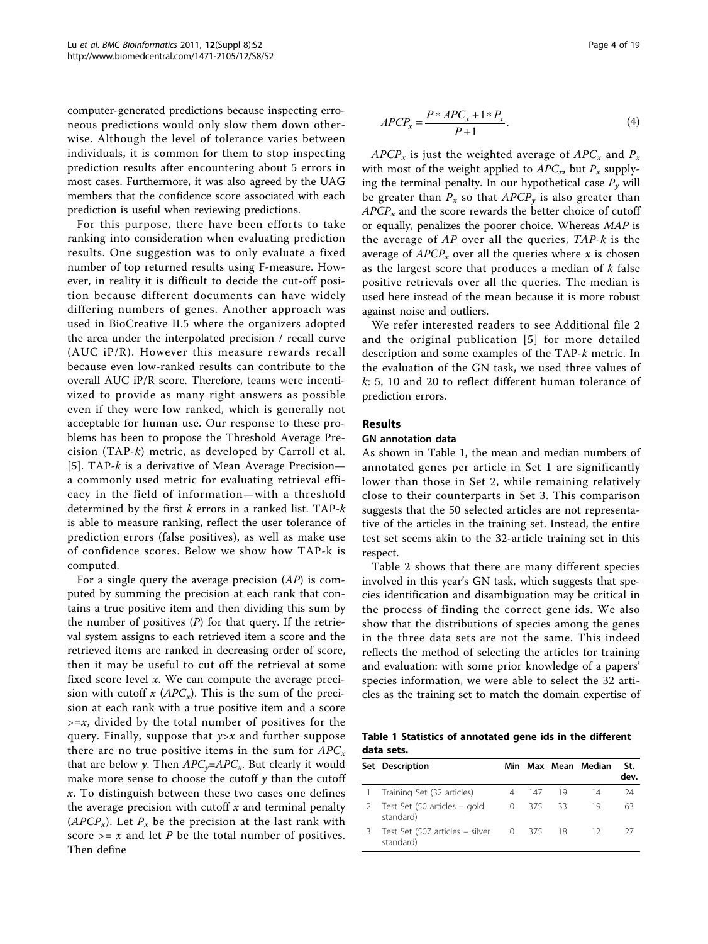<span id="page-3-0"></span>computer-generated predictions because inspecting erroneous predictions would only slow them down otherwise. Although the level of tolerance varies between individuals, it is common for them to stop inspecting prediction results after encountering about 5 errors in most cases. Furthermore, it was also agreed by the UAG members that the confidence score associated with each prediction is useful when reviewing predictions.

For this purpose, there have been efforts to take ranking into consideration when evaluating prediction results. One suggestion was to only evaluate a fixed number of top returned results using F-measure. However, in reality it is difficult to decide the cut-off position because different documents can have widely differing numbers of genes. Another approach was used in BioCreative II.5 where the organizers adopted the area under the interpolated precision / recall curve (AUC iP/R). However this measure rewards recall because even low-ranked results can contribute to the overall AUC iP/R score. Therefore, teams were incentivized to provide as many right answers as possible even if they were low ranked, which is generally not acceptable for human use. Our response to these problems has been to propose the Threshold Average Precision (TAP-k) metric, as developed by Carroll et al. [[5\]](#page-17-0). TAP-k is a derivative of Mean Average Precision a commonly used metric for evaluating retrieval efficacy in the field of information—with a threshold determined by the first  $k$  errors in a ranked list. TAP- $k$ is able to measure ranking, reflect the user tolerance of prediction errors (false positives), as well as make use of confidence scores. Below we show how TAP-k is computed.

For a single query the average precision  $(AP)$  is computed by summing the precision at each rank that contains a true positive item and then dividing this sum by the number of positives  $(P)$  for that query. If the retrieval system assigns to each retrieved item a score and the retrieved items are ranked in decreasing order of score, then it may be useful to cut off the retrieval at some fixed score level  $x$ . We can compute the average precision with cutoff x  $(APC<sub>x</sub>)$ . This is the sum of the precision at each rank with a true positive item and a score  $\Rightarrow$  = x, divided by the total number of positives for the query. Finally, suppose that  $y > x$  and further suppose there are no true positive items in the sum for  $APC<sub>x</sub>$ that are below y. Then  $APC<sub>y</sub>=APC<sub>x</sub>$ . But clearly it would make more sense to choose the cutoff  $y$  than the cutoff x. To distinguish between these two cases one defines the average precision with cutoff  $x$  and terminal penalty ( $APCP<sub>x</sub>$ ). Let  $P<sub>x</sub>$  be the precision at the last rank with score  $\geq$  and let P be the total number of positives. Then define

$$
APCP_x = \frac{P * APC_x + 1 * P_x}{P + 1}.
$$
 (4)

 $APCP<sub>x</sub>$  is just the weighted average of  $APC<sub>x</sub>$  and  $P<sub>x</sub>$ with most of the weight applied to  $APC<sub>x</sub>$ , but  $P<sub>x</sub>$  supplying the terminal penalty. In our hypothetical case  $P_{\gamma}$  will be greater than  $P_x$  so that  $APCP_y$  is also greater than  $APCP<sub>x</sub>$  and the score rewards the better choice of cutoff or equally, penalizes the poorer choice. Whereas MAP is the average of  $AP$  over all the queries,  $TAP-k$  is the average of  $APCP_x$  over all the queries where x is chosen as the largest score that produces a median of  $k$  false positive retrievals over all the queries. The median is used here instead of the mean because it is more robust against noise and outliers.

We refer interested readers to see Additional file [2](#page-16-0) and the original publication [[5](#page-17-0)] for more detailed description and some examples of the TAP-k metric. In the evaluation of the GN task, we used three values of k: 5, 10 and 20 to reflect different human tolerance of prediction errors.

#### Results

#### GN annotation data

As shown in Table 1, the mean and median numbers of annotated genes per article in Set 1 are significantly lower than those in Set 2, while remaining relatively close to their counterparts in Set 3. This comparison suggests that the 50 selected articles are not representative of the articles in the training set. Instead, the entire test set seems akin to the 32-article training set in this respect.

Table [2](#page-4-0) shows that there are many different species involved in this year's GN task, which suggests that species identification and disambiguation may be critical in the process of finding the correct gene ids. We also show that the distributions of species among the genes in the three data sets are not the same. This indeed reflects the method of selecting the articles for training and evaluation: with some prior knowledge of a papers' species information, we were able to select the 32 articles as the training set to match the domain expertise of

Table 1 Statistics of annotated gene ids in the different data sets.

| Set Description                                        |                  |        |    | Min Max Mean Median | St.<br>dev. |
|--------------------------------------------------------|------------------|--------|----|---------------------|-------------|
| Training Set (32 articles)                             | 4                | 147    | 19 | 14                  | 24          |
| 2 Test Set (50 articles – gold<br>standard)            | $\left( \right)$ | 375 33 |    | 19                  | 63          |
| Test Set (507 articles $-$ silver $0$ 375<br>standard) |                  |        | 18 | 12                  | -27         |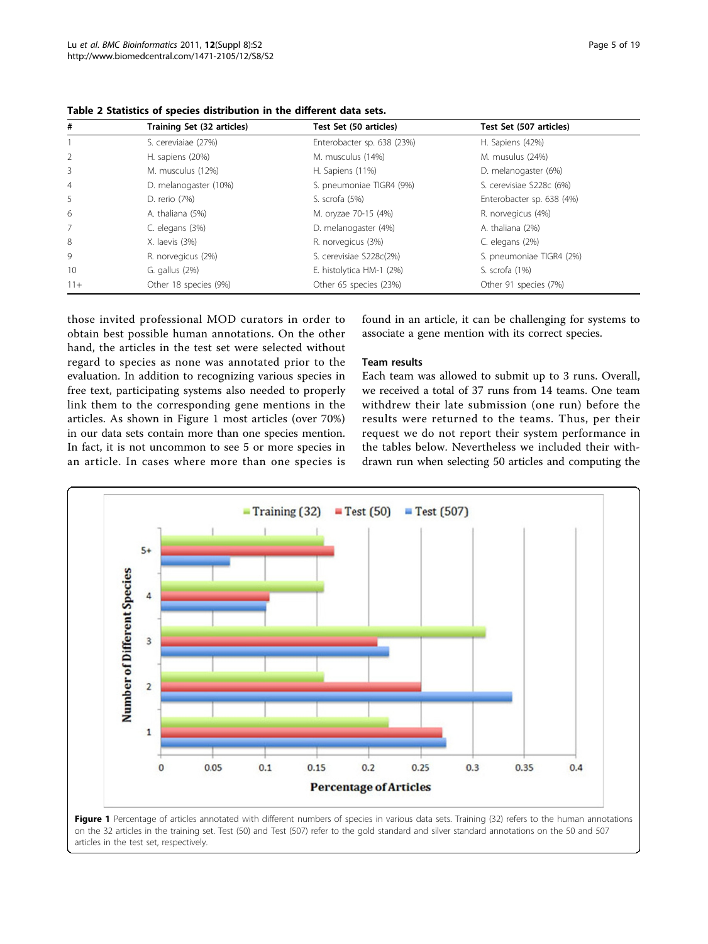| #              | Training Set (32 articles) | Test Set (50 articles)     | Test Set (507 articles)   |
|----------------|----------------------------|----------------------------|---------------------------|
|                | S. cereviaiae (27%)        | Enterobacter sp. 638 (23%) | H. Sapiens (42%)          |
| 2              | H. sapiens (20%)           | M. musculus (14%)          | M. musulus (24%)          |
| 3              | M. musculus (12%)          | H. Sapiens (11%)           | D. melanogaster (6%)      |
| $\overline{4}$ | D. melanogaster (10%)      | S. pneumoniae TIGR4 (9%)   | S. cerevisiae S228c (6%)  |
| 5              | D. rerio (7%)              | S. scrofa (5%)             | Enterobacter sp. 638 (4%) |
| 6              | A. thaliana (5%)           | M. oryzae 70-15 (4%)       | R. norvegicus (4%)        |
| 7              | C. elegans (3%)            | D. melanogaster (4%)       | A. thaliana (2%)          |
| 8              | X. laevis (3%)             | R. norvegicus (3%)         | C. elegans (2%)           |
| 9              | R. norvegicus (2%)         | S. cerevisiae S228c(2%)    | S. pneumoniae TIGR4 (2%)  |
| 10             | G. gallus (2%)             | E. histolytica HM-1 (2%)   | S. scrofa (1%)            |
| $11+$          | Other 18 species (9%)      | Other 65 species (23%)     | Other 91 species (7%)     |

<span id="page-4-0"></span>Table 2 Statistics of species distribution in the different data sets.

those invited professional MOD curators in order to obtain best possible human annotations. On the other hand, the articles in the test set were selected without regard to species as none was annotated prior to the evaluation. In addition to recognizing various species in free text, participating systems also needed to properly link them to the corresponding gene mentions in the articles. As shown in Figure 1 most articles (over 70%) in our data sets contain more than one species mention. In fact, it is not uncommon to see 5 or more species in an article. In cases where more than one species is

found in an article, it can be challenging for systems to associate a gene mention with its correct species.

# Team results

Each team was allowed to submit up to 3 runs. Overall, we received a total of 37 runs from 14 teams. One team withdrew their late submission (one run) before the results were returned to the teams. Thus, per their request we do not report their system performance in the tables below. Nevertheless we included their withdrawn run when selecting 50 articles and computing the



articles in the test set, respectively.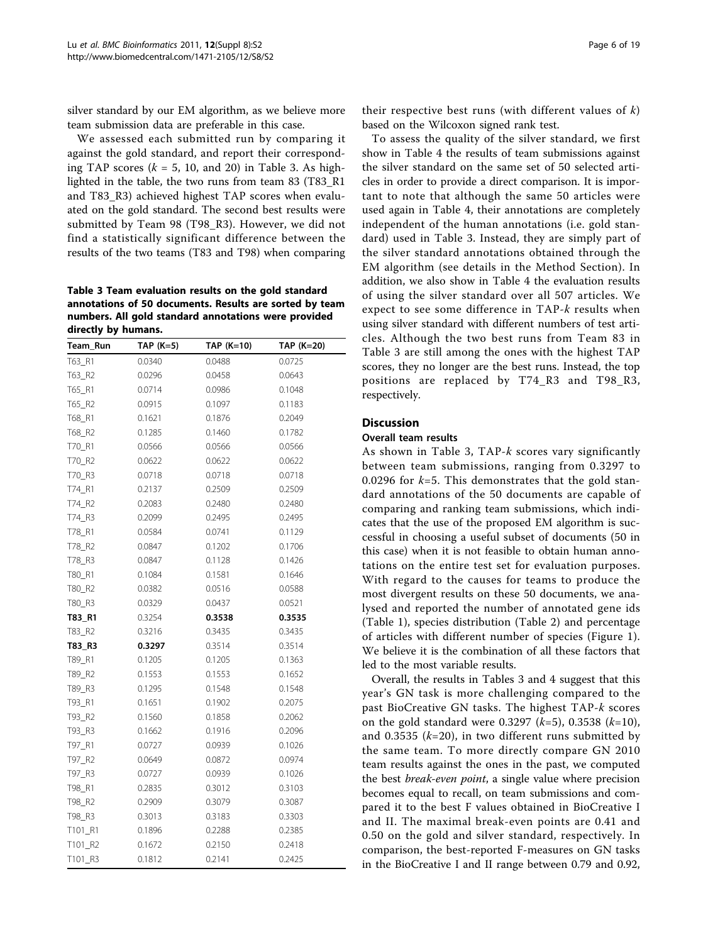<span id="page-5-0"></span>silver standard by our EM algorithm, as we believe more team submission data are preferable in this case.

We assessed each submitted run by comparing it against the gold standard, and report their corresponding TAP scores ( $k = 5$ , 10, and 20) in Table 3. As highlighted in the table, the two runs from team 83 (T83\_R1 and T83\_R3) achieved highest TAP scores when evaluated on the gold standard. The second best results were submitted by Team 98 (T98\_R3). However, we did not find a statistically significant difference between the results of the two teams (T83 and T98) when comparing

Table 3 Team evaluation results on the gold standard annotations of 50 documents. Results are sorted by team numbers. All gold standard annotations were provided directly by humans.

| Team_Run | TAP $(K=5)$ | TAP (K=10) | TAP (K=20) |
|----------|-------------|------------|------------|
| T63_R1   | 0.0340      | 0.0488     | 0.0725     |
| T63_R2   | 0.0296      | 0.0458     | 0.0643     |
| T65_R1   | 0.0714      | 0.0986     | 0.1048     |
| T65_R2   | 0.0915      | 0.1097     | 0.1183     |
| T68_R1   | 0.1621      | 0.1876     | 0.2049     |
| T68_R2   | 0.1285      | 0.1460     | 0.1782     |
| T70_R1   | 0.0566      | 0.0566     | 0.0566     |
| T70_R2   | 0.0622      | 0.0622     | 0.0622     |
| T70_R3   | 0.0718      | 0.0718     | 0.0718     |
| T74_R1   | 0.2137      | 0.2509     | 0.2509     |
| T74_R2   | 0.2083      | 0.2480     | 0.2480     |
| T74_R3   | 0.2099      | 0.2495     | 0.2495     |
| T78_R1   | 0.0584      | 0.0741     | 0.1129     |
| T78_R2   | 0.0847      | 0.1202     | 0.1706     |
| T78_R3   | 0.0847      | 0.1128     | 0.1426     |
| T80_R1   | 0.1084      | 0.1581     | 0.1646     |
| T80_R2   | 0.0382      | 0.0516     | 0.0588     |
| T80_R3   | 0.0329      | 0.0437     | 0.0521     |
| T83_R1   | 0.3254      | 0.3538     | 0.3535     |
| T83_R2   | 0.3216      | 0.3435     | 0.3435     |
| T83_R3   | 0.3297      | 0.3514     | 0.3514     |
| T89_R1   | 0.1205      | 0.1205     | 0.1363     |
| T89_R2   | 0.1553      | 0.1553     | 0.1652     |
| T89_R3   | 0.1295      | 0.1548     | 0.1548     |
| T93_R1   | 0.1651      | 0.1902     | 0.2075     |
| T93_R2   | 0.1560      | 0.1858     | 0.2062     |
| T93_R3   | 0.1662      | 0.1916     | 0.2096     |
| T97_R1   | 0.0727      | 0.0939     | 0.1026     |
| T97_R2   | 0.0649      | 0.0872     | 0.0974     |
| T97_R3   | 0.0727      | 0.0939     | 0.1026     |
| T98_R1   | 0.2835      | 0.3012     | 0.3103     |
| T98_R2   | 0.2909      | 0.3079     | 0.3087     |
| T98_R3   | 0.3013      | 0.3183     | 0.3303     |
| T101_R1  | 0.1896      | 0.2288     | 0.2385     |
| T101_R2  | 0.1672      | 0.2150     | 0.2418     |
| T101_R3  | 0.1812      | 0.2141     | 0.2425     |

their respective best runs (with different values of  $k$ ) based on the Wilcoxon signed rank test.

To assess the quality of the silver standard, we first show in Table [4](#page-6-0) the results of team submissions against the silver standard on the same set of 50 selected articles in order to provide a direct comparison. It is important to note that although the same 50 articles were used again in Table [4](#page-6-0), their annotations are completely independent of the human annotations (i.e. gold standard) used in Table 3. Instead, they are simply part of the silver standard annotations obtained through the EM algorithm (see details in the Method Section). In addition, we also show in Table [4](#page-6-0) the evaluation results of using the silver standard over all 507 articles. We expect to see some difference in TAP-k results when using silver standard with different numbers of test articles. Although the two best runs from Team 83 in Table 3 are still among the ones with the highest TAP scores, they no longer are the best runs. Instead, the top positions are replaced by T74\_R3 and T98\_R3, respectively.

# **Discussion**

# Overall team results

As shown in Table 3, TAP-k scores vary significantly between team submissions, ranging from 0.3297 to 0.0296 for  $k=5$ . This demonstrates that the gold standard annotations of the 50 documents are capable of comparing and ranking team submissions, which indicates that the use of the proposed EM algorithm is successful in choosing a useful subset of documents (50 in this case) when it is not feasible to obtain human annotations on the entire test set for evaluation purposes. With regard to the causes for teams to produce the most divergent results on these 50 documents, we analysed and reported the number of annotated gene ids (Table [1\)](#page-3-0), species distribution (Table [2](#page-4-0)) and percentage of articles with different number of species (Figure [1](#page-4-0)). We believe it is the combination of all these factors that led to the most variable results.

Overall, the results in Tables 3 and [4](#page-6-0) suggest that this year's GN task is more challenging compared to the past BioCreative GN tasks. The highest TAP-k scores on the gold standard were 0.3297 ( $k=5$ ), 0.3538 ( $k=10$ ), and 0.3535 ( $k=20$ ), in two different runs submitted by the same team. To more directly compare GN 2010 team results against the ones in the past, we computed the best break-even point, a single value where precision becomes equal to recall, on team submissions and compared it to the best F values obtained in BioCreative I and II. The maximal break-even points are 0.41 and 0.50 on the gold and silver standard, respectively. In comparison, the best-reported F-measures on GN tasks in the BioCreative I and II range between 0.79 and 0.92,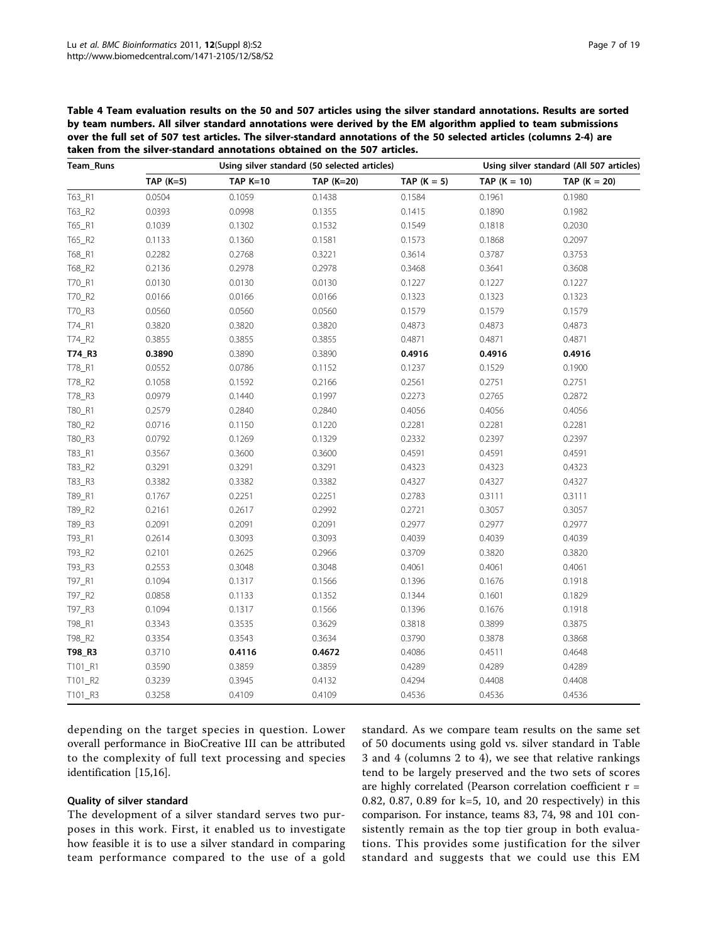| Team_Runs |             | Using silver standard (50 selected articles) | Using silver standard (All 507 articles) |               |                  |                |
|-----------|-------------|----------------------------------------------|------------------------------------------|---------------|------------------|----------------|
|           | TAP $(K=5)$ | <b>TAP K=10</b>                              | TAP (K=20)                               | TAP $(K = 5)$ | TAP ( $K = 10$ ) | TAP $(K = 20)$ |
| T63_R1    | 0.0504      | 0.1059                                       | 0.1438                                   | 0.1584        | 0.1961           | 0.1980         |
| T63_R2    | 0.0393      | 0.0998                                       | 0.1355                                   | 0.1415        | 0.1890           | 0.1982         |
| T65_R1    | 0.1039      | 0.1302                                       | 0.1532                                   | 0.1549        | 0.1818           | 0.2030         |
| T65_R2    | 0.1133      | 0.1360                                       | 0.1581                                   | 0.1573        | 0.1868           | 0.2097         |
| T68_R1    | 0.2282      | 0.2768                                       | 0.3221                                   | 0.3614        | 0.3787           | 0.3753         |
| T68_R2    | 0.2136      | 0.2978                                       | 0.2978                                   | 0.3468        | 0.3641           | 0.3608         |
| T70_R1    | 0.0130      | 0.0130                                       | 0.0130                                   | 0.1227        | 0.1227           | 0.1227         |
| T70_R2    | 0.0166      | 0.0166                                       | 0.0166                                   | 0.1323        | 0.1323           | 0.1323         |
| T70_R3    | 0.0560      | 0.0560                                       | 0.0560                                   | 0.1579        | 0.1579           | 0.1579         |
| T74_R1    | 0.3820      | 0.3820                                       | 0.3820                                   | 0.4873        | 0.4873           | 0.4873         |
| T74_R2    | 0.3855      | 0.3855                                       | 0.3855                                   | 0.4871        | 0.4871           | 0.4871         |
| T74_R3    | 0.3890      | 0.3890                                       | 0.3890                                   | 0.4916        | 0.4916           | 0.4916         |
| T78_R1    | 0.0552      | 0.0786                                       | 0.1152                                   | 0.1237        | 0.1529           | 0.1900         |
| T78_R2    | 0.1058      | 0.1592                                       | 0.2166                                   | 0.2561        | 0.2751           | 0.2751         |
| T78_R3    | 0.0979      | 0.1440                                       | 0.1997                                   | 0.2273        | 0.2765           | 0.2872         |
| T80_R1    | 0.2579      | 0.2840                                       | 0.2840                                   | 0.4056        | 0.4056           | 0.4056         |
| T80_R2    | 0.0716      | 0.1150                                       | 0.1220                                   | 0.2281        | 0.2281           | 0.2281         |
| T80_R3    | 0.0792      | 0.1269                                       | 0.1329                                   | 0.2332        | 0.2397           | 0.2397         |
| T83_R1    | 0.3567      | 0.3600                                       | 0.3600                                   | 0.4591        | 0.4591           | 0.4591         |
| T83_R2    | 0.3291      | 0.3291                                       | 0.3291                                   | 0.4323        | 0.4323           | 0.4323         |
| T83_R3    | 0.3382      | 0.3382                                       | 0.3382                                   | 0.4327        | 0.4327           | 0.4327         |
| T89_R1    | 0.1767      | 0.2251                                       | 0.2251                                   | 0.2783        | 0.3111           | 0.3111         |
| T89_R2    | 0.2161      | 0.2617                                       | 0.2992                                   | 0.2721        | 0.3057           | 0.3057         |
| T89_R3    | 0.2091      | 0.2091                                       | 0.2091                                   | 0.2977        | 0.2977           | 0.2977         |
| T93_R1    | 0.2614      | 0.3093                                       | 0.3093                                   | 0.4039        | 0.4039           | 0.4039         |
| T93_R2    | 0.2101      | 0.2625                                       | 0.2966                                   | 0.3709        | 0.3820           | 0.3820         |
| T93_R3    | 0.2553      | 0.3048                                       | 0.3048                                   | 0.4061        | 0.4061           | 0.4061         |
| T97_R1    | 0.1094      | 0.1317                                       | 0.1566                                   | 0.1396        | 0.1676           | 0.1918         |
| T97_R2    | 0.0858      | 0.1133                                       | 0.1352                                   | 0.1344        | 0.1601           | 0.1829         |
| T97_R3    | 0.1094      | 0.1317                                       | 0.1566                                   | 0.1396        | 0.1676           | 0.1918         |
| T98_R1    | 0.3343      | 0.3535                                       | 0.3629                                   | 0.3818        | 0.3899           | 0.3875         |
| T98_R2    | 0.3354      | 0.3543                                       | 0.3634                                   | 0.3790        | 0.3878           | 0.3868         |
| T98_R3    | 0.3710      | 0.4116                                       | 0.4672                                   | 0.4086        | 0.4511           | 0.4648         |
| T101_R1   | 0.3590      | 0.3859                                       | 0.3859                                   | 0.4289        | 0.4289           | 0.4289         |
| T101_R2   | 0.3239      | 0.3945                                       | 0.4132                                   | 0.4294        | 0.4408           | 0.4408         |
| T101_R3   | 0.3258      | 0.4109                                       | 0.4109                                   | 0.4536        | 0.4536           | 0.4536         |

<span id="page-6-0"></span>Table 4 Team evaluation results on the 50 and 507 articles using the silver standard annotations. Results are sorted by team numbers. All silver standard annotations were derived by the EM algorithm applied to team submissions over the full set of 507 test articles. The silver-standard annotations of the 50 selected articles (columns 2-4) are taken from the silver-standard annotations obtained on the 507 articles.

depending on the target species in question. Lower overall performance in BioCreative III can be attributed to the complexity of full text processing and species identification [[15,16](#page-17-0)].

#### Quality of silver standard

The development of a silver standard serves two purposes in this work. First, it enabled us to investigate how feasible it is to use a silver standard in comparing team performance compared to the use of a gold standard. As we compare team results on the same set of 50 documents using gold vs. silver standard in Table [3](#page-5-0) and 4 (columns 2 to 4), we see that relative rankings tend to be largely preserved and the two sets of scores are highly correlated (Pearson correlation coefficient r = 0.82, 0.87, 0.89 for k=5, 10, and 20 respectively) in this comparison. For instance, teams 83, 74, 98 and 101 consistently remain as the top tier group in both evaluations. This provides some justification for the silver standard and suggests that we could use this EM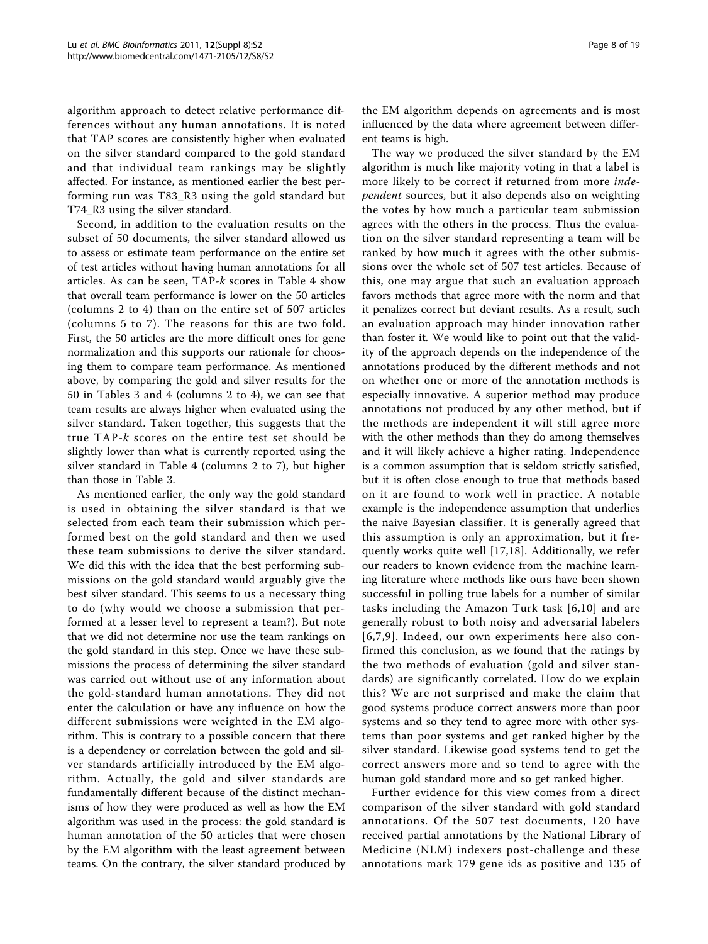algorithm approach to detect relative performance differences without any human annotations. It is noted that TAP scores are consistently higher when evaluated on the silver standard compared to the gold standard and that individual team rankings may be slightly affected. For instance, as mentioned earlier the best performing run was T83\_R3 using the gold standard but T74\_R3 using the silver standard.

Second, in addition to the evaluation results on the subset of 50 documents, the silver standard allowed us to assess or estimate team performance on the entire set of test articles without having human annotations for all articles. As can be seen, TAP-k scores in Table [4](#page-6-0) show that overall team performance is lower on the 50 articles (columns 2 to 4) than on the entire set of 507 articles (columns 5 to 7). The reasons for this are two fold. First, the 50 articles are the more difficult ones for gene normalization and this supports our rationale for choosing them to compare team performance. As mentioned above, by comparing the gold and silver results for the 50 in Tables [3](#page-5-0) and [4](#page-6-0) (columns 2 to 4), we can see that team results are always higher when evaluated using the silver standard. Taken together, this suggests that the true TAP-k scores on the entire test set should be slightly lower than what is currently reported using the silver standard in Table [4](#page-6-0) (columns 2 to 7), but higher than those in Table [3](#page-5-0).

As mentioned earlier, the only way the gold standard is used in obtaining the silver standard is that we selected from each team their submission which performed best on the gold standard and then we used these team submissions to derive the silver standard. We did this with the idea that the best performing submissions on the gold standard would arguably give the best silver standard. This seems to us a necessary thing to do (why would we choose a submission that performed at a lesser level to represent a team?). But note that we did not determine nor use the team rankings on the gold standard in this step. Once we have these submissions the process of determining the silver standard was carried out without use of any information about the gold-standard human annotations. They did not enter the calculation or have any influence on how the different submissions were weighted in the EM algorithm. This is contrary to a possible concern that there is a dependency or correlation between the gold and silver standards artificially introduced by the EM algorithm. Actually, the gold and silver standards are fundamentally different because of the distinct mechanisms of how they were produced as well as how the EM algorithm was used in the process: the gold standard is human annotation of the 50 articles that were chosen by the EM algorithm with the least agreement between teams. On the contrary, the silver standard produced by

the EM algorithm depends on agreements and is most influenced by the data where agreement between different teams is high.

The way we produced the silver standard by the EM algorithm is much like majority voting in that a label is more likely to be correct if returned from more independent sources, but it also depends also on weighting the votes by how much a particular team submission agrees with the others in the process. Thus the evaluation on the silver standard representing a team will be ranked by how much it agrees with the other submissions over the whole set of 507 test articles. Because of this, one may argue that such an evaluation approach favors methods that agree more with the norm and that it penalizes correct but deviant results. As a result, such an evaluation approach may hinder innovation rather than foster it. We would like to point out that the validity of the approach depends on the independence of the annotations produced by the different methods and not on whether one or more of the annotation methods is especially innovative. A superior method may produce annotations not produced by any other method, but if the methods are independent it will still agree more with the other methods than they do among themselves and it will likely achieve a higher rating. Independence is a common assumption that is seldom strictly satisfied, but it is often close enough to true that methods based on it are found to work well in practice. A notable example is the independence assumption that underlies the naive Bayesian classifier. It is generally agreed that this assumption is only an approximation, but it frequently works quite well [[17,18](#page-17-0)]. Additionally, we refer our readers to known evidence from the machine learning literature where methods like ours have been shown successful in polling true labels for a number of similar tasks including the Amazon Turk task [[6](#page-17-0),[10\]](#page-17-0) and are generally robust to both noisy and adversarial labelers [[6,7](#page-17-0),[9](#page-17-0)]. Indeed, our own experiments here also confirmed this conclusion, as we found that the ratings by the two methods of evaluation (gold and silver standards) are significantly correlated. How do we explain this? We are not surprised and make the claim that good systems produce correct answers more than poor systems and so they tend to agree more with other systems than poor systems and get ranked higher by the silver standard. Likewise good systems tend to get the correct answers more and so tend to agree with the human gold standard more and so get ranked higher.

Further evidence for this view comes from a direct comparison of the silver standard with gold standard annotations. Of the 507 test documents, 120 have received partial annotations by the National Library of Medicine (NLM) indexers post-challenge and these annotations mark 179 gene ids as positive and 135 of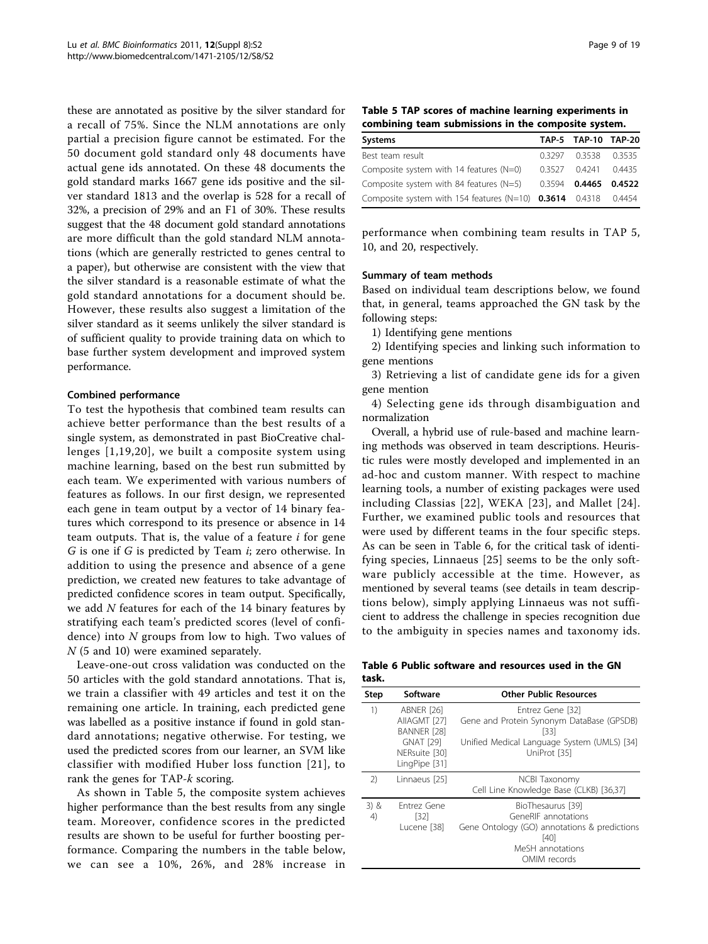these are annotated as positive by the silver standard for a recall of 75%. Since the NLM annotations are only partial a precision figure cannot be estimated. For the 50 document gold standard only 48 documents have actual gene ids annotated. On these 48 documents the gold standard marks 1667 gene ids positive and the silver standard 1813 and the overlap is 528 for a recall of 32%, a precision of 29% and an F1 of 30%. These results suggest that the 48 document gold standard annotations are more difficult than the gold standard NLM annotations (which are generally restricted to genes central to a paper), but otherwise are consistent with the view that the silver standard is a reasonable estimate of what the gold standard annotations for a document should be. However, these results also suggest a limitation of the silver standard as it seems unlikely the silver standard is of sufficient quality to provide training data on which to base further system development and improved system performance.

### Combined performance

To test the hypothesis that combined team results can achieve better performance than the best results of a single system, as demonstrated in past BioCreative challenges [[1](#page-17-0),[19,20](#page-17-0)], we built a composite system using machine learning, based on the best run submitted by each team. We experimented with various numbers of features as follows. In our first design, we represented each gene in team output by a vector of 14 binary features which correspond to its presence or absence in 14 team outputs. That is, the value of a feature  $i$  for gene G is one if G is predicted by Team i; zero otherwise. In addition to using the presence and absence of a gene prediction, we created new features to take advantage of predicted confidence scores in team output. Specifically, we add  $N$  features for each of the 14 binary features by stratifying each team's predicted scores (level of confidence) into N groups from low to high. Two values of N (5 and 10) were examined separately.

Leave-one-out cross validation was conducted on the 50 articles with the gold standard annotations. That is, we train a classifier with 49 articles and test it on the remaining one article. In training, each predicted gene was labelled as a positive instance if found in gold standard annotations; negative otherwise. For testing, we used the predicted scores from our learner, an SVM like classifier with modified Huber loss function [[21](#page-17-0)], to rank the genes for TAP-k scoring.

As shown in Table 5, the composite system achieves higher performance than the best results from any single team. Moreover, confidence scores in the predicted results are shown to be useful for further boosting performance. Comparing the numbers in the table below, we can see a 10%, 26%, and 28% increase in

|  |  | Table 5 TAP scores of machine learning experiments in |  |
|--|--|-------------------------------------------------------|--|
|  |  | combining team submissions in the composite system.   |  |

| <b>Systems</b>                                            |        | TAP-5 TAP-10 TAP-20 |        |
|-----------------------------------------------------------|--------|---------------------|--------|
| Best team result                                          |        | 0.3297 0.3538       | 0.3535 |
| Composite system with 14 features $(N=0)$                 | 0.3527 | 04241               | 0.4435 |
| Composite system with 84 features ( $N=5$ )               | 0.3594 | 0.4465 0.4522       |        |
| Composite system with 154 features $(N=10)$ 0.3614 0.4318 |        |                     | 0.4454 |

performance when combining team results in TAP 5, 10, and 20, respectively.

#### Summary of team methods

Based on individual team descriptions below, we found that, in general, teams approached the GN task by the following steps:

1) Identifying gene mentions

2) Identifying species and linking such information to gene mentions

3) Retrieving a list of candidate gene ids for a given gene mention

4) Selecting gene ids through disambiguation and normalization

Overall, a hybrid use of rule-based and machine learning methods was observed in team descriptions. Heuristic rules were mostly developed and implemented in an ad-hoc and custom manner. With respect to machine learning tools, a number of existing packages were used including Classias [[22](#page-17-0)], WEKA [[23](#page-17-0)], and Mallet [[24\]](#page-17-0). Further, we examined public tools and resources that were used by different teams in the four specific steps. As can be seen in Table 6, for the critical task of identifying species, Linnaeus [[25\]](#page-17-0) seems to be the only software publicly accessible at the time. However, as mentioned by several teams (see details in team descriptions below), simply applying Linnaeus was not sufficient to address the challenge in species recognition due to the ambiguity in species names and taxonomy ids.

Table 6 Public software and resources used in the GN task.

| <b>Step</b>                          | <b>Software</b>                                                                                 | <b>Other Public Resources</b>                                                                                                        |
|--------------------------------------|-------------------------------------------------------------------------------------------------|--------------------------------------------------------------------------------------------------------------------------------------|
| 1)                                   | ABNER [26]<br>AIIAGMT [27]<br>BANNER [28]<br><b>GNAT [29]</b><br>NERsuite [30]<br>LingPipe [31] | Entrez Gene [32]<br>Gene and Protein Synonym DataBase (GPSDB)<br>[33]<br>Unified Medical Language System (UMLS) [34]<br>UniProt [35] |
| $\mathbf{2}$                         | Linnaeus [25]                                                                                   | NCBI Taxonomy<br>Cell Line Knowledge Base (CLKB) [36,37]                                                                             |
| 3) &<br>$\left( \frac{1}{2} \right)$ | <b>Fntrez Gene</b><br>[32]<br>Lucene [38]                                                       | BioThesaurus [39]<br>GeneRIF annotations<br>Gene Ontology (GO) annotations & predictions<br>[40]<br>MeSH annotations<br>OMIM records |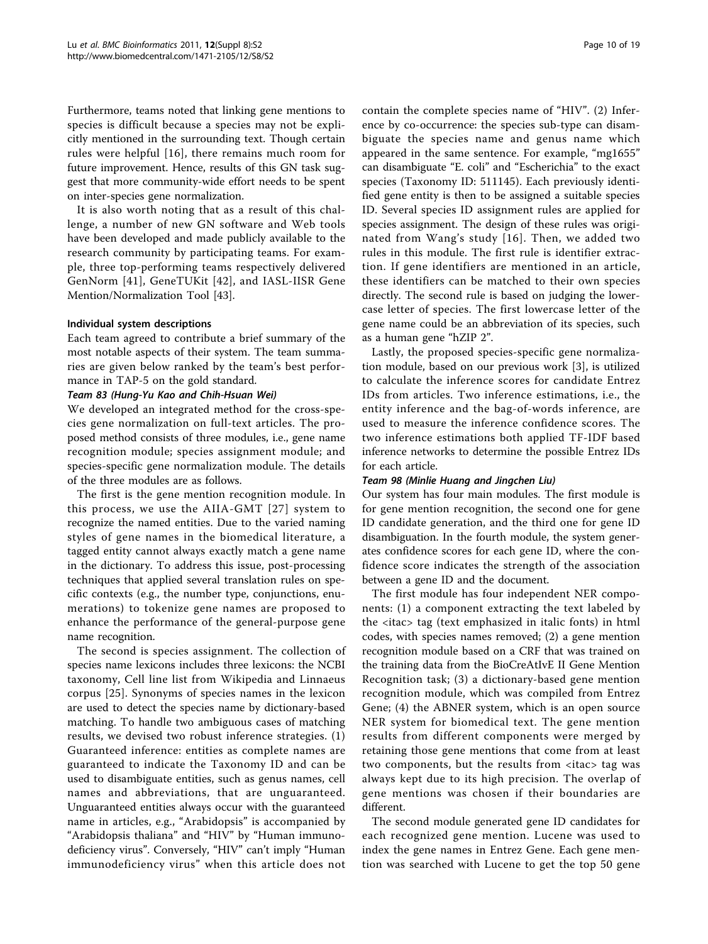Furthermore, teams noted that linking gene mentions to species is difficult because a species may not be explicitly mentioned in the surrounding text. Though certain rules were helpful [[16\]](#page-17-0), there remains much room for future improvement. Hence, results of this GN task suggest that more community-wide effort needs to be spent on inter-species gene normalization.

It is also worth noting that as a result of this challenge, a number of new GN software and Web tools have been developed and made publicly available to the research community by participating teams. For example, three top-performing teams respectively delivered GenNorm [[41\]](#page-17-0), GeneTUKit [\[42\]](#page-17-0), and IASL-IISR Gene Mention/Normalization Tool [[43](#page-17-0)].

#### Individual system descriptions

Each team agreed to contribute a brief summary of the most notable aspects of their system. The team summaries are given below ranked by the team's best performance in TAP-5 on the gold standard.

#### Team 83 (Hung-Yu Kao and Chih-Hsuan Wei)

We developed an integrated method for the cross-species gene normalization on full-text articles. The proposed method consists of three modules, i.e., gene name recognition module; species assignment module; and species-specific gene normalization module. The details of the three modules are as follows.

The first is the gene mention recognition module. In this process, we use the AIIA-GMT [[27\]](#page-17-0) system to recognize the named entities. Due to the varied naming styles of gene names in the biomedical literature, a tagged entity cannot always exactly match a gene name in the dictionary. To address this issue, post-processing techniques that applied several translation rules on specific contexts (e.g., the number type, conjunctions, enumerations) to tokenize gene names are proposed to enhance the performance of the general-purpose gene name recognition.

The second is species assignment. The collection of species name lexicons includes three lexicons: the NCBI taxonomy, Cell line list from Wikipedia and Linnaeus corpus [[25\]](#page-17-0). Synonyms of species names in the lexicon are used to detect the species name by dictionary-based matching. To handle two ambiguous cases of matching results, we devised two robust inference strategies. (1) Guaranteed inference: entities as complete names are guaranteed to indicate the Taxonomy ID and can be used to disambiguate entities, such as genus names, cell names and abbreviations, that are unguaranteed. Unguaranteed entities always occur with the guaranteed name in articles, e.g., "Arabidopsis" is accompanied by "Arabidopsis thaliana" and "HIV" by "Human immunodeficiency virus". Conversely, "HIV" can't imply "Human immunodeficiency virus" when this article does not

contain the complete species name of "HIV". (2) Inference by co-occurrence: the species sub-type can disambiguate the species name and genus name which appeared in the same sentence. For example, "mg1655" can disambiguate "E. coli" and "Escherichia" to the exact species (Taxonomy ID: 511145). Each previously identified gene entity is then to be assigned a suitable species ID. Several species ID assignment rules are applied for species assignment. The design of these rules was originated from Wang's study [[16\]](#page-17-0). Then, we added two rules in this module. The first rule is identifier extraction. If gene identifiers are mentioned in an article, these identifiers can be matched to their own species directly. The second rule is based on judging the lowercase letter of species. The first lowercase letter of the gene name could be an abbreviation of its species, such as a human gene "hZIP 2".

Lastly, the proposed species-specific gene normalization module, based on our previous work [[3\]](#page-17-0), is utilized to calculate the inference scores for candidate Entrez IDs from articles. Two inference estimations, i.e., the entity inference and the bag-of-words inference, are used to measure the inference confidence scores. The two inference estimations both applied TF-IDF based inference networks to determine the possible Entrez IDs for each article.

#### Team 98 (Minlie Huang and Jingchen Liu)

Our system has four main modules. The first module is for gene mention recognition, the second one for gene ID candidate generation, and the third one for gene ID disambiguation. In the fourth module, the system generates confidence scores for each gene ID, where the confidence score indicates the strength of the association between a gene ID and the document.

The first module has four independent NER components: (1) a component extracting the text labeled by the <itac> tag (text emphasized in italic fonts) in html codes, with species names removed; (2) a gene mention recognition module based on a CRF that was trained on the training data from the BioCreAtIvE II Gene Mention Recognition task; (3) a dictionary-based gene mention recognition module, which was compiled from Entrez Gene; (4) the ABNER system, which is an open source NER system for biomedical text. The gene mention results from different components were merged by retaining those gene mentions that come from at least two components, but the results from <itac> tag was always kept due to its high precision. The overlap of gene mentions was chosen if their boundaries are different.

The second module generated gene ID candidates for each recognized gene mention. Lucene was used to index the gene names in Entrez Gene. Each gene mention was searched with Lucene to get the top 50 gene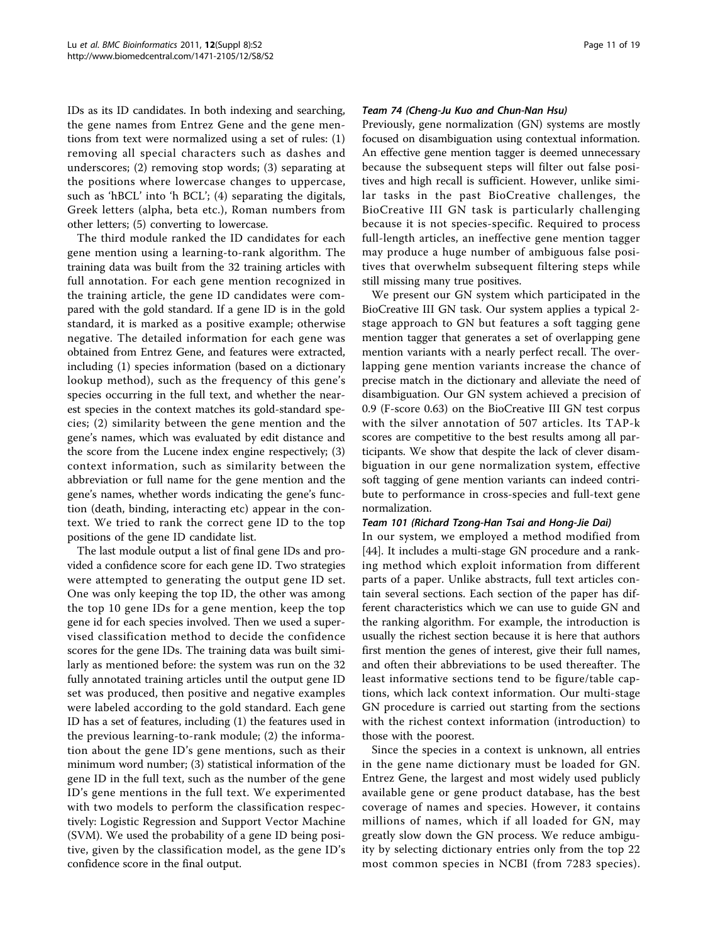IDs as its ID candidates. In both indexing and searching, the gene names from Entrez Gene and the gene mentions from text were normalized using a set of rules: (1) removing all special characters such as dashes and underscores; (2) removing stop words; (3) separating at the positions where lowercase changes to uppercase, such as 'hBCL' into 'h BCL'; (4) separating the digitals, Greek letters (alpha, beta etc.), Roman numbers from other letters; (5) converting to lowercase.

The third module ranked the ID candidates for each gene mention using a learning-to-rank algorithm. The training data was built from the 32 training articles with full annotation. For each gene mention recognized in the training article, the gene ID candidates were compared with the gold standard. If a gene ID is in the gold standard, it is marked as a positive example; otherwise negative. The detailed information for each gene was obtained from Entrez Gene, and features were extracted, including (1) species information (based on a dictionary lookup method), such as the frequency of this gene's species occurring in the full text, and whether the nearest species in the context matches its gold-standard species; (2) similarity between the gene mention and the gene's names, which was evaluated by edit distance and the score from the Lucene index engine respectively; (3) context information, such as similarity between the abbreviation or full name for the gene mention and the gene's names, whether words indicating the gene's function (death, binding, interacting etc) appear in the context. We tried to rank the correct gene ID to the top positions of the gene ID candidate list.

The last module output a list of final gene IDs and provided a confidence score for each gene ID. Two strategies were attempted to generating the output gene ID set. One was only keeping the top ID, the other was among the top 10 gene IDs for a gene mention, keep the top gene id for each species involved. Then we used a supervised classification method to decide the confidence scores for the gene IDs. The training data was built similarly as mentioned before: the system was run on the 32 fully annotated training articles until the output gene ID set was produced, then positive and negative examples were labeled according to the gold standard. Each gene ID has a set of features, including (1) the features used in the previous learning-to-rank module; (2) the information about the gene ID's gene mentions, such as their minimum word number; (3) statistical information of the gene ID in the full text, such as the number of the gene ID's gene mentions in the full text. We experimented with two models to perform the classification respectively: Logistic Regression and Support Vector Machine (SVM). We used the probability of a gene ID being positive, given by the classification model, as the gene ID's confidence score in the final output.

## Team 74 (Cheng-Ju Kuo and Chun-Nan Hsu)

Previously, gene normalization (GN) systems are mostly focused on disambiguation using contextual information. An effective gene mention tagger is deemed unnecessary because the subsequent steps will filter out false positives and high recall is sufficient. However, unlike similar tasks in the past BioCreative challenges, the BioCreative III GN task is particularly challenging because it is not species-specific. Required to process full-length articles, an ineffective gene mention tagger may produce a huge number of ambiguous false positives that overwhelm subsequent filtering steps while still missing many true positives.

We present our GN system which participated in the BioCreative III GN task. Our system applies a typical 2 stage approach to GN but features a soft tagging gene mention tagger that generates a set of overlapping gene mention variants with a nearly perfect recall. The overlapping gene mention variants increase the chance of precise match in the dictionary and alleviate the need of disambiguation. Our GN system achieved a precision of 0.9 (F-score 0.63) on the BioCreative III GN test corpus with the silver annotation of 507 articles. Its TAP-k scores are competitive to the best results among all participants. We show that despite the lack of clever disambiguation in our gene normalization system, effective soft tagging of gene mention variants can indeed contribute to performance in cross-species and full-text gene normalization.

#### Team 101 (Richard Tzong-Han Tsai and Hong-Jie Dai)

In our system, we employed a method modified from [[44\]](#page-17-0). It includes a multi-stage GN procedure and a ranking method which exploit information from different parts of a paper. Unlike abstracts, full text articles contain several sections. Each section of the paper has different characteristics which we can use to guide GN and the ranking algorithm. For example, the introduction is usually the richest section because it is here that authors first mention the genes of interest, give their full names, and often their abbreviations to be used thereafter. The least informative sections tend to be figure/table captions, which lack context information. Our multi-stage GN procedure is carried out starting from the sections with the richest context information (introduction) to those with the poorest.

Since the species in a context is unknown, all entries in the gene name dictionary must be loaded for GN. Entrez Gene, the largest and most widely used publicly available gene or gene product database, has the best coverage of names and species. However, it contains millions of names, which if all loaded for GN, may greatly slow down the GN process. We reduce ambiguity by selecting dictionary entries only from the top 22 most common species in NCBI (from 7283 species).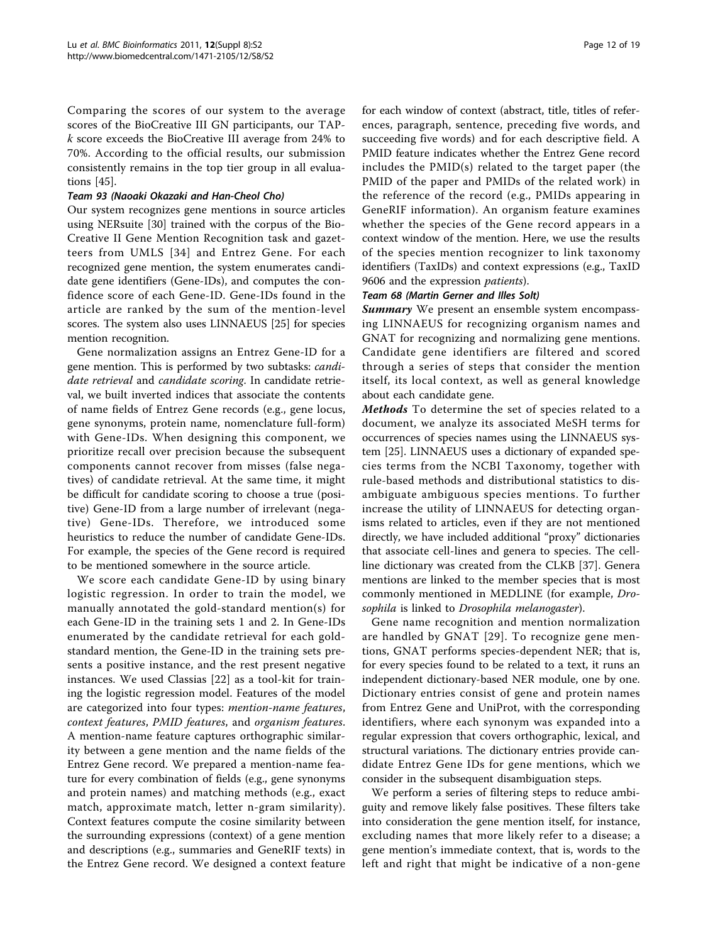Comparing the scores of our system to the average scores of the BioCreative III GN participants, our TAPk score exceeds the BioCreative III average from 24% to 70%. According to the official results, our submission consistently remains in the top tier group in all evaluations [\[45\]](#page-17-0).

### Team 93 (Naoaki Okazaki and Han-Cheol Cho)

Our system recognizes gene mentions in source articles using NERsuite [\[30](#page-17-0)] trained with the corpus of the Bio-Creative II Gene Mention Recognition task and gazetteers from UMLS [[34](#page-17-0)] and Entrez Gene. For each recognized gene mention, the system enumerates candidate gene identifiers (Gene-IDs), and computes the confidence score of each Gene-ID. Gene-IDs found in the article are ranked by the sum of the mention-level scores. The system also uses LINNAEUS [\[25\]](#page-17-0) for species mention recognition.

Gene normalization assigns an Entrez Gene-ID for a gene mention. This is performed by two subtasks: candidate retrieval and candidate scoring. In candidate retrieval, we built inverted indices that associate the contents of name fields of Entrez Gene records (e.g., gene locus, gene synonyms, protein name, nomenclature full-form) with Gene-IDs. When designing this component, we prioritize recall over precision because the subsequent components cannot recover from misses (false negatives) of candidate retrieval. At the same time, it might be difficult for candidate scoring to choose a true (positive) Gene-ID from a large number of irrelevant (negative) Gene-IDs. Therefore, we introduced some heuristics to reduce the number of candidate Gene-IDs. For example, the species of the Gene record is required to be mentioned somewhere in the source article.

We score each candidate Gene-ID by using binary logistic regression. In order to train the model, we manually annotated the gold-standard mention(s) for each Gene-ID in the training sets 1 and 2. In Gene-IDs enumerated by the candidate retrieval for each goldstandard mention, the Gene-ID in the training sets presents a positive instance, and the rest present negative instances. We used Classias [[22\]](#page-17-0) as a tool-kit for training the logistic regression model. Features of the model are categorized into four types: mention-name features, context features, PMID features, and organism features. A mention-name feature captures orthographic similarity between a gene mention and the name fields of the Entrez Gene record. We prepared a mention-name feature for every combination of fields (e.g., gene synonyms and protein names) and matching methods (e.g., exact match, approximate match, letter n-gram similarity). Context features compute the cosine similarity between the surrounding expressions (context) of a gene mention and descriptions (e.g., summaries and GeneRIF texts) in the Entrez Gene record. We designed a context feature for each window of context (abstract, title, titles of references, paragraph, sentence, preceding five words, and succeeding five words) and for each descriptive field. A PMID feature indicates whether the Entrez Gene record includes the PMID(s) related to the target paper (the PMID of the paper and PMIDs of the related work) in the reference of the record (e.g., PMIDs appearing in GeneRIF information). An organism feature examines whether the species of the Gene record appears in a context window of the mention. Here, we use the results of the species mention recognizer to link taxonomy identifiers (TaxIDs) and context expressions (e.g., TaxID 9606 and the expression patients).

### Team 68 (Martin Gerner and Illes Solt)

**Summary** We present an ensemble system encompassing LINNAEUS for recognizing organism names and GNAT for recognizing and normalizing gene mentions. Candidate gene identifiers are filtered and scored through a series of steps that consider the mention itself, its local context, as well as general knowledge about each candidate gene.

Methods To determine the set of species related to a document, we analyze its associated MeSH terms for occurrences of species names using the LINNAEUS system [[25\]](#page-17-0). LINNAEUS uses a dictionary of expanded species terms from the NCBI Taxonomy, together with rule-based methods and distributional statistics to disambiguate ambiguous species mentions. To further increase the utility of LINNAEUS for detecting organisms related to articles, even if they are not mentioned directly, we have included additional "proxy" dictionaries that associate cell-lines and genera to species. The cellline dictionary was created from the CLKB [\[37](#page-17-0)]. Genera mentions are linked to the member species that is most commonly mentioned in MEDLINE (for example, Drosophila is linked to Drosophila melanogaster).

Gene name recognition and mention normalization are handled by GNAT [[29](#page-17-0)]. To recognize gene mentions, GNAT performs species-dependent NER; that is, for every species found to be related to a text, it runs an independent dictionary-based NER module, one by one. Dictionary entries consist of gene and protein names from Entrez Gene and UniProt, with the corresponding identifiers, where each synonym was expanded into a regular expression that covers orthographic, lexical, and structural variations. The dictionary entries provide candidate Entrez Gene IDs for gene mentions, which we consider in the subsequent disambiguation steps.

We perform a series of filtering steps to reduce ambiguity and remove likely false positives. These filters take into consideration the gene mention itself, for instance, excluding names that more likely refer to a disease; a gene mention's immediate context, that is, words to the left and right that might be indicative of a non-gene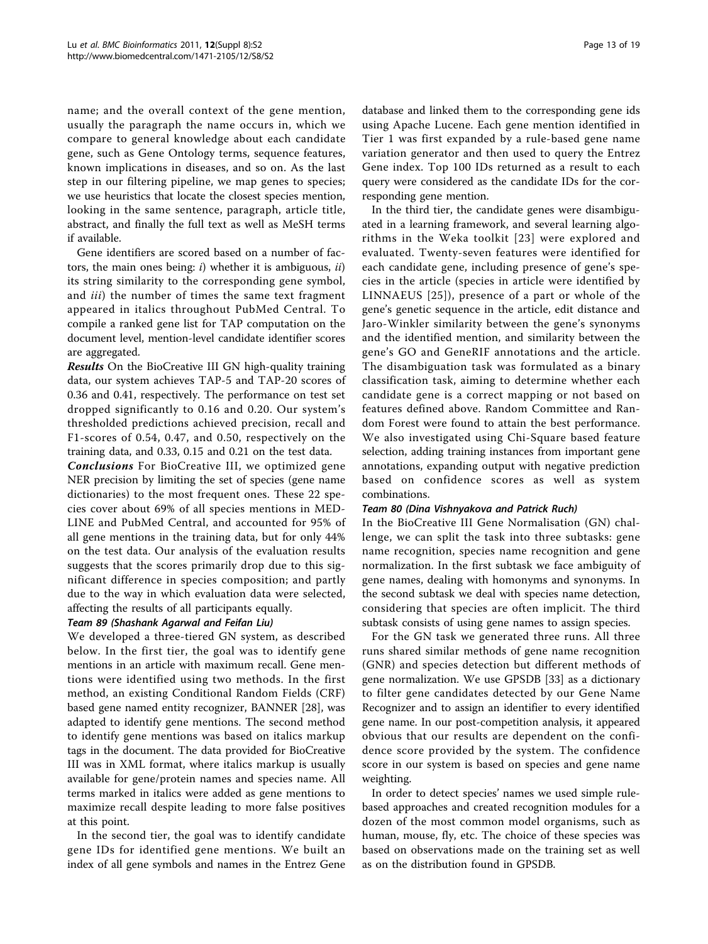name; and the overall context of the gene mention, usually the paragraph the name occurs in, which we compare to general knowledge about each candidate gene, such as Gene Ontology terms, sequence features, known implications in diseases, and so on. As the last step in our filtering pipeline, we map genes to species; we use heuristics that locate the closest species mention, looking in the same sentence, paragraph, article title, abstract, and finally the full text as well as MeSH terms if available.

Gene identifiers are scored based on a number of factors, the main ones being: *i*) whether it is ambiguous, *ii*) its string similarity to the corresponding gene symbol, and *iii*) the number of times the same text fragment appeared in italics throughout PubMed Central. To compile a ranked gene list for TAP computation on the document level, mention-level candidate identifier scores are aggregated.

Results On the BioCreative III GN high-quality training data, our system achieves TAP-5 and TAP-20 scores of 0.36 and 0.41, respectively. The performance on test set dropped significantly to 0.16 and 0.20. Our system's thresholded predictions achieved precision, recall and F1-scores of 0.54, 0.47, and 0.50, respectively on the training data, and 0.33, 0.15 and 0.21 on the test data.

Conclusions For BioCreative III, we optimized gene NER precision by limiting the set of species (gene name dictionaries) to the most frequent ones. These 22 species cover about 69% of all species mentions in MED-LINE and PubMed Central, and accounted for 95% of all gene mentions in the training data, but for only 44% on the test data. Our analysis of the evaluation results suggests that the scores primarily drop due to this significant difference in species composition; and partly due to the way in which evaluation data were selected, affecting the results of all participants equally.

# Team 89 (Shashank Agarwal and Feifan Liu)

We developed a three-tiered GN system, as described below. In the first tier, the goal was to identify gene mentions in an article with maximum recall. Gene mentions were identified using two methods. In the first method, an existing Conditional Random Fields (CRF) based gene named entity recognizer, BANNER [[28\]](#page-17-0), was adapted to identify gene mentions. The second method to identify gene mentions was based on italics markup tags in the document. The data provided for BioCreative III was in XML format, where italics markup is usually available for gene/protein names and species name. All terms marked in italics were added as gene mentions to maximize recall despite leading to more false positives at this point.

In the second tier, the goal was to identify candidate gene IDs for identified gene mentions. We built an index of all gene symbols and names in the Entrez Gene

database and linked them to the corresponding gene ids using Apache Lucene. Each gene mention identified in Tier 1 was first expanded by a rule-based gene name variation generator and then used to query the Entrez Gene index. Top 100 IDs returned as a result to each query were considered as the candidate IDs for the corresponding gene mention.

In the third tier, the candidate genes were disambiguated in a learning framework, and several learning algorithms in the Weka toolkit [[23\]](#page-17-0) were explored and evaluated. Twenty-seven features were identified for each candidate gene, including presence of gene's species in the article (species in article were identified by LINNAEUS [[25](#page-17-0)]), presence of a part or whole of the gene's genetic sequence in the article, edit distance and Jaro-Winkler similarity between the gene's synonyms and the identified mention, and similarity between the gene's GO and GeneRIF annotations and the article. The disambiguation task was formulated as a binary classification task, aiming to determine whether each candidate gene is a correct mapping or not based on features defined above. Random Committee and Random Forest were found to attain the best performance. We also investigated using Chi-Square based feature selection, adding training instances from important gene annotations, expanding output with negative prediction based on confidence scores as well as system combinations.

#### Team 80 (Dina Vishnyakova and Patrick Ruch)

In the BioCreative III Gene Normalisation (GN) challenge, we can split the task into three subtasks: gene name recognition, species name recognition and gene normalization. In the first subtask we face ambiguity of gene names, dealing with homonyms and synonyms. In the second subtask we deal with species name detection, considering that species are often implicit. The third subtask consists of using gene names to assign species.

For the GN task we generated three runs. All three runs shared similar methods of gene name recognition (GNR) and species detection but different methods of gene normalization. We use GPSDB [[33\]](#page-17-0) as a dictionary to filter gene candidates detected by our Gene Name Recognizer and to assign an identifier to every identified gene name. In our post-competition analysis, it appeared obvious that our results are dependent on the confidence score provided by the system. The confidence score in our system is based on species and gene name weighting.

In order to detect species' names we used simple rulebased approaches and created recognition modules for a dozen of the most common model organisms, such as human, mouse, fly, etc. The choice of these species was based on observations made on the training set as well as on the distribution found in GPSDB.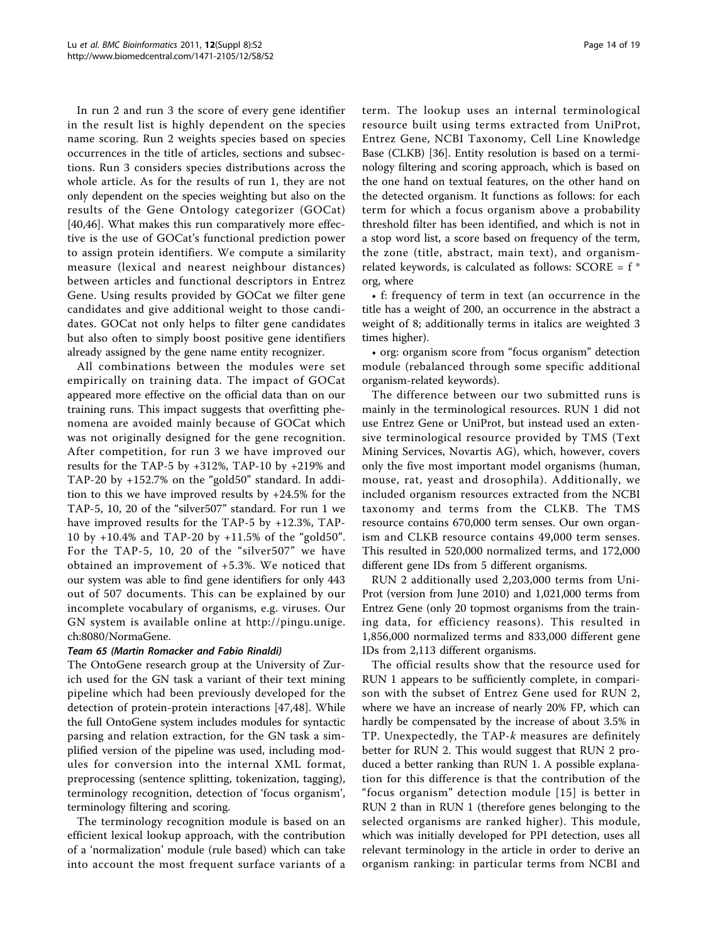In run 2 and run 3 the score of every gene identifier in the result list is highly dependent on the species name scoring. Run 2 weights species based on species occurrences in the title of articles, sections and subsections. Run 3 considers species distributions across the whole article. As for the results of run 1, they are not only dependent on the species weighting but also on the results of the Gene Ontology categorizer (GOCat) [[40,46\]](#page-17-0). What makes this run comparatively more effective is the use of GOCat's functional prediction power to assign protein identifiers. We compute a similarity measure (lexical and nearest neighbour distances) between articles and functional descriptors in Entrez Gene. Using results provided by GOCat we filter gene candidates and give additional weight to those candidates. GOCat not only helps to filter gene candidates but also often to simply boost positive gene identifiers already assigned by the gene name entity recognizer.

All combinations between the modules were set empirically on training data. The impact of GOCat appeared more effective on the official data than on our training runs. This impact suggests that overfitting phenomena are avoided mainly because of GOCat which was not originally designed for the gene recognition. After competition, for run 3 we have improved our results for the TAP-5 by +312%, TAP-10 by +219% and TAP-20 by +152.7% on the "gold50" standard. In addition to this we have improved results by +24.5% for the TAP-5, 10, 20 of the "silver507" standard. For run 1 we have improved results for the TAP-5 by +12.3%, TAP-10 by +10.4% and TAP-20 by +11.5% of the "gold50". For the TAP-5, 10, 20 of the "silver507" we have obtained an improvement of +5.3%. We noticed that our system was able to find gene identifiers for only 443 out of 507 documents. This can be explained by our incomplete vocabulary of organisms, e.g. viruses. Our GN system is available online at [http://pingu.unige.](http://pingu.unige.ch:8080/NormaGene) [ch:8080/NormaGene.](http://pingu.unige.ch:8080/NormaGene)

# Team 65 (Martin Romacker and Fabio Rinaldi)

The OntoGene research group at the University of Zurich used for the GN task a variant of their text mining pipeline which had been previously developed for the detection of protein-protein interactions [\[47,48](#page-17-0)]. While the full OntoGene system includes modules for syntactic parsing and relation extraction, for the GN task a simplified version of the pipeline was used, including modules for conversion into the internal XML format, preprocessing (sentence splitting, tokenization, tagging), terminology recognition, detection of 'focus organism', terminology filtering and scoring.

The terminology recognition module is based on an efficient lexical lookup approach, with the contribution of a 'normalization' module (rule based) which can take into account the most frequent surface variants of a

term. The lookup uses an internal terminological resource built using terms extracted from UniProt, Entrez Gene, NCBI Taxonomy, Cell Line Knowledge Base (CLKB) [\[36\]](#page-17-0). Entity resolution is based on a terminology filtering and scoring approach, which is based on the one hand on textual features, on the other hand on the detected organism. It functions as follows: for each term for which a focus organism above a probability threshold filter has been identified, and which is not in a stop word list, a score based on frequency of the term, the zone (title, abstract, main text), and organismrelated keywords, is calculated as follows:  $SCORE = f *$ org, where

• f: frequency of term in text (an occurrence in the title has a weight of 200, an occurrence in the abstract a weight of 8; additionally terms in italics are weighted 3 times higher).

• org: organism score from "focus organism" detection module (rebalanced through some specific additional organism-related keywords).

The difference between our two submitted runs is mainly in the terminological resources. RUN 1 did not use Entrez Gene or UniProt, but instead used an extensive terminological resource provided by TMS (Text Mining Services, Novartis AG), which, however, covers only the five most important model organisms (human, mouse, rat, yeast and drosophila). Additionally, we included organism resources extracted from the NCBI taxonomy and terms from the CLKB. The TMS resource contains 670,000 term senses. Our own organism and CLKB resource contains 49,000 term senses. This resulted in 520,000 normalized terms, and 172,000 different gene IDs from 5 different organisms.

RUN 2 additionally used 2,203,000 terms from Uni-Prot (version from June 2010) and 1,021,000 terms from Entrez Gene (only 20 topmost organisms from the training data, for efficiency reasons). This resulted in 1,856,000 normalized terms and 833,000 different gene IDs from 2,113 different organisms.

The official results show that the resource used for RUN 1 appears to be sufficiently complete, in comparison with the subset of Entrez Gene used for RUN 2, where we have an increase of nearly 20% FP, which can hardly be compensated by the increase of about 3.5% in TP. Unexpectedly, the TAP- $k$  measures are definitely better for RUN 2. This would suggest that RUN 2 produced a better ranking than RUN 1. A possible explanation for this difference is that the contribution of the "focus organism" detection module [[15\]](#page-17-0) is better in RUN 2 than in RUN 1 (therefore genes belonging to the selected organisms are ranked higher). This module, which was initially developed for PPI detection, uses all relevant terminology in the article in order to derive an organism ranking: in particular terms from NCBI and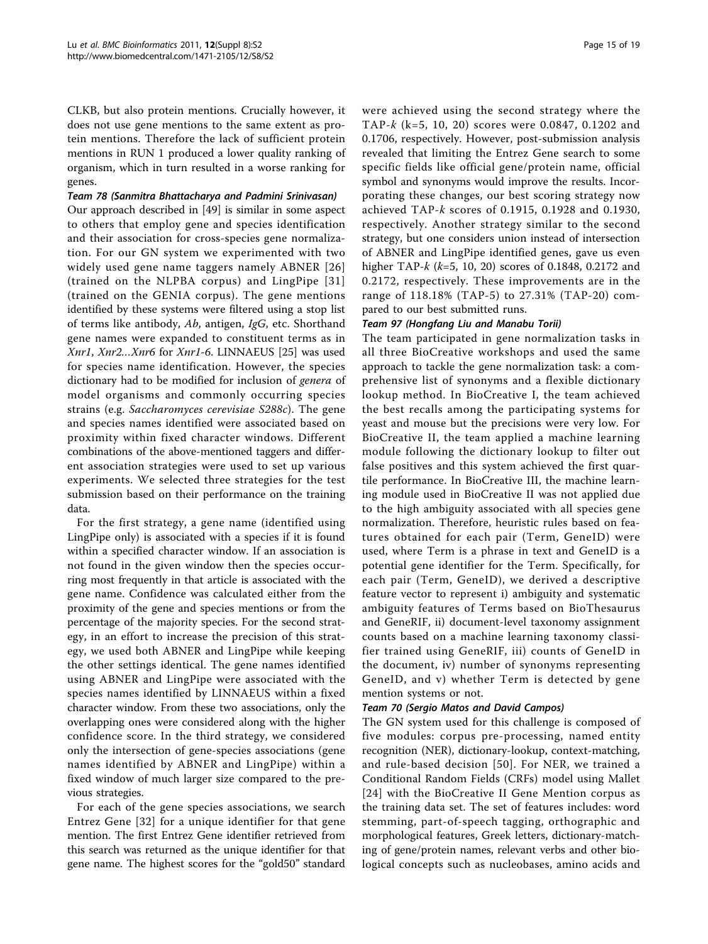CLKB, but also protein mentions. Crucially however, it does not use gene mentions to the same extent as protein mentions. Therefore the lack of sufficient protein mentions in RUN 1 produced a lower quality ranking of organism, which in turn resulted in a worse ranking for genes.

#### Team 78 (Sanmitra Bhattacharya and Padmini Srinivasan)

Our approach described in [\[49\]](#page-18-0) is similar in some aspect to others that employ gene and species identification and their association for cross-species gene normalization. For our GN system we experimented with two widely used gene name taggers namely ABNER [[26](#page-17-0)] (trained on the NLPBA corpus) and LingPipe [[31](#page-17-0)] (trained on the GENIA corpus). The gene mentions identified by these systems were filtered using a stop list of terms like antibody, Ab, antigen, IgG, etc. Shorthand gene names were expanded to constituent terms as in Xnr1, Xnr2…Xnr6 for Xnr1-6. LINNAEUS [\[25](#page-17-0)] was used for species name identification. However, the species dictionary had to be modified for inclusion of genera of model organisms and commonly occurring species strains (e.g. Saccharomyces cerevisiae S288c). The gene and species names identified were associated based on proximity within fixed character windows. Different combinations of the above-mentioned taggers and different association strategies were used to set up various experiments. We selected three strategies for the test submission based on their performance on the training data.

For the first strategy, a gene name (identified using LingPipe only) is associated with a species if it is found within a specified character window. If an association is not found in the given window then the species occurring most frequently in that article is associated with the gene name. Confidence was calculated either from the proximity of the gene and species mentions or from the percentage of the majority species. For the second strategy, in an effort to increase the precision of this strategy, we used both ABNER and LingPipe while keeping the other settings identical. The gene names identified using ABNER and LingPipe were associated with the species names identified by LINNAEUS within a fixed character window. From these two associations, only the overlapping ones were considered along with the higher confidence score. In the third strategy, we considered only the intersection of gene-species associations (gene names identified by ABNER and LingPipe) within a fixed window of much larger size compared to the previous strategies.

For each of the gene species associations, we search Entrez Gene [\[32\]](#page-17-0) for a unique identifier for that gene mention. The first Entrez Gene identifier retrieved from this search was returned as the unique identifier for that gene name. The highest scores for the "gold50" standard were achieved using the second strategy where the TAP-k (k=5, 10, 20) scores were 0.0847, 0.1202 and 0.1706, respectively. However, post-submission analysis revealed that limiting the Entrez Gene search to some specific fields like official gene/protein name, official symbol and synonyms would improve the results. Incorporating these changes, our best scoring strategy now achieved TAP-k scores of 0.1915, 0.1928 and 0.1930, respectively. Another strategy similar to the second strategy, but one considers union instead of intersection of ABNER and LingPipe identified genes, gave us even higher TAP- $k$  ( $k=5$ , 10, 20) scores of 0.1848, 0.2172 and 0.2172, respectively. These improvements are in the range of 118.18% (TAP-5) to 27.31% (TAP-20) compared to our best submitted runs.

# Team 97 (Hongfang Liu and Manabu Torii)

The team participated in gene normalization tasks in all three BioCreative workshops and used the same approach to tackle the gene normalization task: a comprehensive list of synonyms and a flexible dictionary lookup method. In BioCreative I, the team achieved the best recalls among the participating systems for yeast and mouse but the precisions were very low. For BioCreative II, the team applied a machine learning module following the dictionary lookup to filter out false positives and this system achieved the first quartile performance. In BioCreative III, the machine learning module used in BioCreative II was not applied due to the high ambiguity associated with all species gene normalization. Therefore, heuristic rules based on features obtained for each pair (Term, GeneID) were used, where Term is a phrase in text and GeneID is a potential gene identifier for the Term. Specifically, for each pair (Term, GeneID), we derived a descriptive feature vector to represent i) ambiguity and systematic ambiguity features of Terms based on BioThesaurus and GeneRIF, ii) document-level taxonomy assignment counts based on a machine learning taxonomy classifier trained using GeneRIF, iii) counts of GeneID in the document, iv) number of synonyms representing GeneID, and v) whether Term is detected by gene mention systems or not.

# Team 70 (Sergio Matos and David Campos)

The GN system used for this challenge is composed of five modules: corpus pre-processing, named entity recognition (NER), dictionary-lookup, context-matching, and rule-based decision [[50\]](#page-18-0). For NER, we trained a Conditional Random Fields (CRFs) model using Mallet [[24\]](#page-17-0) with the BioCreative II Gene Mention corpus as the training data set. The set of features includes: word stemming, part-of-speech tagging, orthographic and morphological features, Greek letters, dictionary-matching of gene/protein names, relevant verbs and other biological concepts such as nucleobases, amino acids and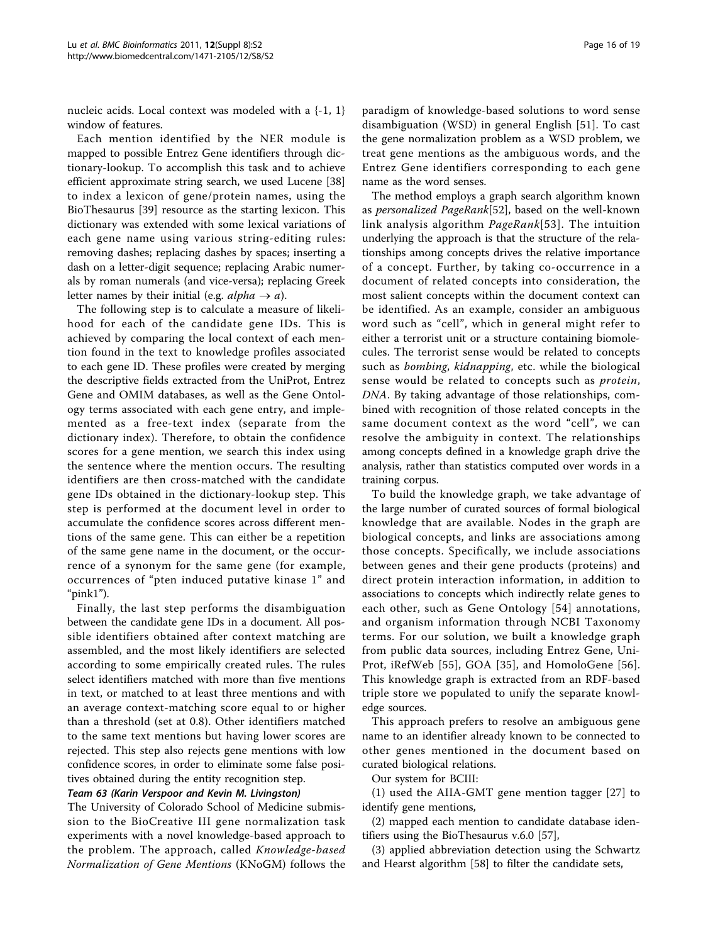nucleic acids. Local context was modeled with a {-1, 1} window of features.

Each mention identified by the NER module is mapped to possible Entrez Gene identifiers through dictionary-lookup. To accomplish this task and to achieve efficient approximate string search, we used Lucene [[38](#page-17-0)] to index a lexicon of gene/protein names, using the BioThesaurus [[39\]](#page-17-0) resource as the starting lexicon. This dictionary was extended with some lexical variations of each gene name using various string-editing rules: removing dashes; replacing dashes by spaces; inserting a dash on a letter-digit sequence; replacing Arabic numerals by roman numerals (and vice-versa); replacing Greek letter names by their initial (e.g. *alpha*  $\rightarrow$  *a*).

The following step is to calculate a measure of likelihood for each of the candidate gene IDs. This is achieved by comparing the local context of each mention found in the text to knowledge profiles associated to each gene ID. These profiles were created by merging the descriptive fields extracted from the UniProt, Entrez Gene and OMIM databases, as well as the Gene Ontology terms associated with each gene entry, and implemented as a free-text index (separate from the dictionary index). Therefore, to obtain the confidence scores for a gene mention, we search this index using the sentence where the mention occurs. The resulting identifiers are then cross-matched with the candidate gene IDs obtained in the dictionary-lookup step. This step is performed at the document level in order to accumulate the confidence scores across different mentions of the same gene. This can either be a repetition of the same gene name in the document, or the occurrence of a synonym for the same gene (for example, occurrences of "pten induced putative kinase 1" and "pink1").

Finally, the last step performs the disambiguation between the candidate gene IDs in a document. All possible identifiers obtained after context matching are assembled, and the most likely identifiers are selected according to some empirically created rules. The rules select identifiers matched with more than five mentions in text, or matched to at least three mentions and with an average context-matching score equal to or higher than a threshold (set at 0.8). Other identifiers matched to the same text mentions but having lower scores are rejected. This step also rejects gene mentions with low confidence scores, in order to eliminate some false positives obtained during the entity recognition step.

#### Team 63 (Karin Verspoor and Kevin M. Livingston)

The University of Colorado School of Medicine submission to the BioCreative III gene normalization task experiments with a novel knowledge-based approach to the problem. The approach, called Knowledge-based Normalization of Gene Mentions (KNoGM) follows the paradigm of knowledge-based solutions to word sense disambiguation (WSD) in general English [[51](#page-18-0)]. To cast the gene normalization problem as a WSD problem, we treat gene mentions as the ambiguous words, and the Entrez Gene identifiers corresponding to each gene name as the word senses.

The method employs a graph search algorithm known as *personalized PageRank*[[52\]](#page-18-0), based on the well-known link analysis algorithm *PageRank*[[53\]](#page-18-0). The intuition underlying the approach is that the structure of the relationships among concepts drives the relative importance of a concept. Further, by taking co-occurrence in a document of related concepts into consideration, the most salient concepts within the document context can be identified. As an example, consider an ambiguous word such as "cell", which in general might refer to either a terrorist unit or a structure containing biomolecules. The terrorist sense would be related to concepts such as bombing, kidnapping, etc. while the biological sense would be related to concepts such as protein, DNA. By taking advantage of those relationships, combined with recognition of those related concepts in the same document context as the word "cell", we can resolve the ambiguity in context. The relationships among concepts defined in a knowledge graph drive the analysis, rather than statistics computed over words in a training corpus.

To build the knowledge graph, we take advantage of the large number of curated sources of formal biological knowledge that are available. Nodes in the graph are biological concepts, and links are associations among those concepts. Specifically, we include associations between genes and their gene products (proteins) and direct protein interaction information, in addition to associations to concepts which indirectly relate genes to each other, such as Gene Ontology [[54\]](#page-18-0) annotations, and organism information through NCBI Taxonomy terms. For our solution, we built a knowledge graph from public data sources, including Entrez Gene, Uni-Prot, iRefWeb [\[55](#page-18-0)], GOA [[35\]](#page-17-0), and HomoloGene [[56](#page-18-0)]. This knowledge graph is extracted from an RDF-based triple store we populated to unify the separate knowledge sources.

This approach prefers to resolve an ambiguous gene name to an identifier already known to be connected to other genes mentioned in the document based on curated biological relations.

Our system for BCIII:

(1) used the AIIA-GMT gene mention tagger [\[27](#page-17-0)] to identify gene mentions,

(2) mapped each mention to candidate database identifiers using the BioThesaurus v.6.0 [[57\]](#page-18-0),

(3) applied abbreviation detection using the Schwartz and Hearst algorithm [[58\]](#page-18-0) to filter the candidate sets,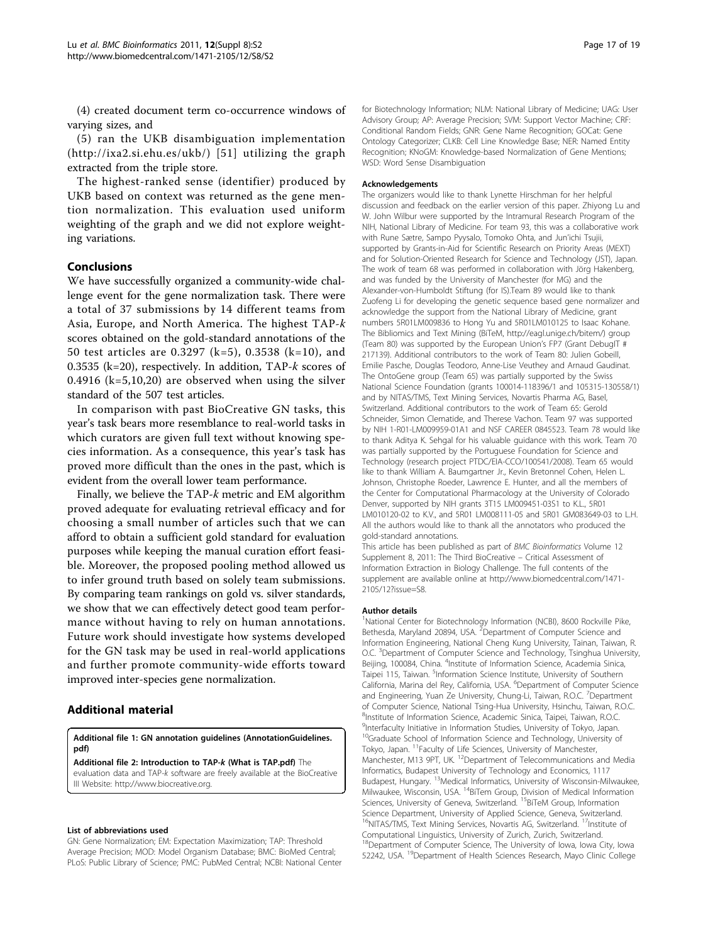<span id="page-16-0"></span>(4) created document term co-occurrence windows of varying sizes, and

(5) ran the UKB disambiguation implementation ([http://ixa2.si.ehu.es/ukb/\)](http://ixa2.si.ehu.es/ukb/) [[51](#page-18-0)] utilizing the graph extracted from the triple store.

The highest-ranked sense (identifier) produced by UKB based on context was returned as the gene mention normalization. This evaluation used uniform weighting of the graph and we did not explore weighting variations.

#### Conclusions

We have successfully organized a community-wide challenge event for the gene normalization task. There were a total of 37 submissions by 14 different teams from Asia, Europe, and North America. The highest TAP-k scores obtained on the gold-standard annotations of the 50 test articles are 0.3297 (k=5), 0.3538 (k=10), and 0.3535 (k=20), respectively. In addition,  $TAP-k$  scores of 0.4916 ( $k=5,10,20$ ) are observed when using the silver standard of the 507 test articles.

In comparison with past BioCreative GN tasks, this year's task bears more resemblance to real-world tasks in which curators are given full text without knowing species information. As a consequence, this year's task has proved more difficult than the ones in the past, which is evident from the overall lower team performance.

Finally, we believe the TAP-k metric and EM algorithm proved adequate for evaluating retrieval efficacy and for choosing a small number of articles such that we can afford to obtain a sufficient gold standard for evaluation purposes while keeping the manual curation effort feasible. Moreover, the proposed pooling method allowed us to infer ground truth based on solely team submissions. By comparing team rankings on gold vs. silver standards, we show that we can effectively detect good team performance without having to rely on human annotations. Future work should investigate how systems developed for the GN task may be used in real-world applications and further promote community-wide efforts toward improved inter-species gene normalization.

# Additional material

[Additional file 1: G](http://www.biomedcentral.com/content/supplementary/1471-2105-12-S8-S2-S1.pdf)N annotation guidelines (AnnotationGuidelines. pdf)

[Additional file 2: I](http://www.biomedcentral.com/content/supplementary/1471-2105-12-S8-S2-S2.pdf)ntroduction to TAP-k (What is TAP.pdf) The evaluation data and TAP-k software are freely available at the BioCreative III Website:<http://www.biocreative.org>.

#### List of abbreviations used

GN: Gene Normalization; EM: Expectation Maximization; TAP: Threshold Average Precision; MOD: Model Organism Database; BMC: BioMed Central; PLoS: Public Library of Science; PMC: PubMed Central; NCBI: National Center for Biotechnology Information; NLM: National Library of Medicine; UAG: User Advisory Group; AP: Average Precision; SVM: Support Vector Machine; CRF: Conditional Random Fields; GNR: Gene Name Recognition; GOCat: Gene Ontology Categorizer; CLKB: Cell Line Knowledge Base; NER: Named Entity Recognition; KNoGM: Knowledge-based Normalization of Gene Mentions; WSD: Word Sense Disambiguation

#### Acknowledgements

The organizers would like to thank Lynette Hirschman for her helpful discussion and feedback on the earlier version of this paper. Zhiyong Lu and W. John Wilbur were supported by the Intramural Research Program of the NIH, National Library of Medicine. For team 93, this was a collaborative work with Rune Sætre, Sampo Pyysalo, Tomoko Ohta, and Jun'ichi Tsujii, supported by Grants-in-Aid for Scientific Research on Priority Areas (MEXT) and for Solution-Oriented Research for Science and Technology (JST), Japan. The work of team 68 was performed in collaboration with Jörg Hakenberg, and was funded by the University of Manchester (for MG) and the Alexander-von-Humboldt Stiftung (for IS).Team 89 would like to thank Zuofeng Li for developing the genetic sequence based gene normalizer and acknowledge the support from the National Library of Medicine, grant numbers 5R01LM009836 to Hong Yu and 5R01LM010125 to Isaac Kohane. The Bibliomics and Text Mining (BiTeM, [http://eagl.unige.ch/bitem/\)](http://eagl.unige.ch/bitem/) group (Team 80) was supported by the European Union's FP7 (Grant DebugIT # 217139). Additional contributors to the work of Team 80: Julien Gobeill, Emilie Pasche, Douglas Teodoro, Anne-Lise Veuthey and Arnaud Gaudinat. The OntoGene group (Team 65) was partially supported by the Swiss National Science Foundation (grants 100014-118396/1 and 105315-130558/1) and by NITAS/TMS, Text Mining Services, Novartis Pharma AG, Basel, Switzerland. Additional contributors to the work of Team 65: Gerold Schneider, Simon Clematide, and Therese Vachon. Team 97 was supported by NIH 1-R01-LM009959-01A1 and NSF CAREER 0845523. Team 78 would like to thank Aditya K. Sehgal for his valuable guidance with this work. Team 70 was partially supported by the Portuguese Foundation for Science and Technology (research project PTDC/EIA-CCO/100541/2008). Team 65 would like to thank William A. Baumgartner Jr., Kevin Bretonnel Cohen, Helen L. Johnson, Christophe Roeder, Lawrence E. Hunter, and all the members of the Center for Computational Pharmacology at the University of Colorado Denver, supported by NIH grants 3T15 LM009451-03S1 to K.L., 5R01 LM010120-02 to K.V., and 5R01 LM008111-05 and 5R01 GM083649-03 to L.H. All the authors would like to thank all the annotators who produced the gold-standard annotations.

This article has been published as part of BMC Bioinformatics Volume 12 Supplement 8, 2011: The Third BioCreative – Critical Assessment of Information Extraction in Biology Challenge. The full contents of the supplement are available online at [http://www.biomedcentral.com/1471-](http://www.biomedcentral.com/1471-2105/12?issue=S8) [2105/12?issue=S8.](http://www.biomedcentral.com/1471-2105/12?issue=S8)

#### Author details

<sup>1</sup>National Center for Biotechnology Information (NCBI), 8600 Rockville Pike Bethesda, Maryland 20894, USA. <sup>2</sup> Department of Computer Science and Information Engineering, National Cheng Kung University, Tainan, Taiwan, R. O.C. <sup>3</sup>Department of Computer Science and Technology, Tsinghua University Beijing, 100084, China. <sup>4</sup>Institute of Information Science, Academia Sinica, Taipei 115, Taiwan. <sup>5</sup>Information Science Institute, University of Southern California, Marina del Rey, California, USA. <sup>6</sup>Department of Computer Science and Engineering, Yuan Ze University, Chung-Li, Taiwan, R.O.C. <sup>7</sup>Department of Computer Science, National Tsing-Hua University, Hsinchu, Taiwan, R.O.C. 8 Institute of Information Science, Academic Sinica, Taipei, Taiwan, R.O.C. <sup>9</sup>Interfaculty Initiative in Information Studies, University of Tokyo, Japan. <sup>10</sup>Graduate School of Information Science and Technology, University of Tokyo, Japan. <sup>11</sup>Faculty of Life Sciences, University of Manchester, Manchester, M13 9PT, UK. <sup>12</sup>Department of Telecommunications and Media Informatics, Budapest University of Technology and Economics, 1117 Budapest, Hungary. 13Medical Informatics, University of Wisconsin-Milwaukee, Milwaukee, Wisconsin, USA. <sup>14</sup>BiTem Group, Division of Medical Information Sciences, University of Geneva, Switzerland. <sup>15</sup>BiTeM Group, Information Science Department, University of Applied Science, Geneva, Switzerland.<br><sup>16</sup>NITAS/TMS, Text Mining Services, Novartis AG, Switzerland. <sup>17</sup>Institute of Computational Linguistics, University of Zurich, Zurich, Switzerland. <sup>18</sup>Department of Computer Science, The University of Iowa, Iowa City, Iowa 52242, USA. <sup>19</sup>Department of Health Sciences Research, Mayo Clinic College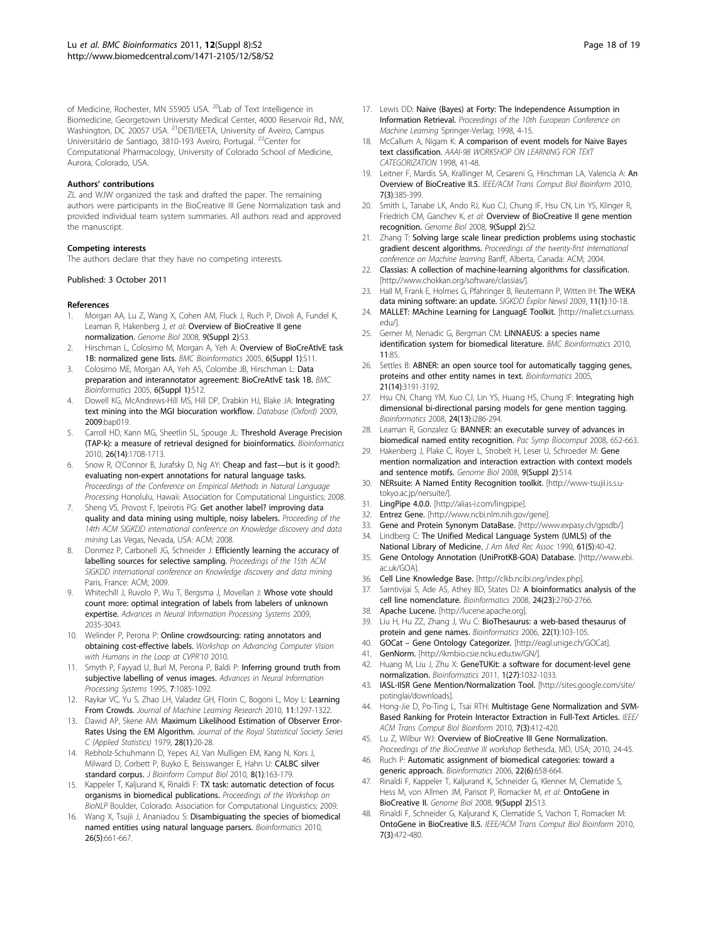<span id="page-17-0"></span>of Medicine, Rochester, MN 55905 USA. <sup>20</sup>Lab of Text Intelligence in Biomedicine, Georgetown University Medical Center, 4000 Reservoir Rd., NW, Washington, DC 20057 USA. <sup>21</sup> DETI/IEETA, University of Aveiro, Campus Universitário de Santiago, 3810-193 Aveiro, Portugal. <sup>22</sup>Center for Computational Pharmacology, University of Colorado School of Medicine, Aurora, Colorado, USA.

#### Authors' contributions

ZL and WJW organized the task and drafted the paper. The remaining authors were participants in the BioCreative III Gene Normalization task and provided individual team system summaries. All authors read and approved the manuscript.

#### Competing interests

The authors declare that they have no competing interests.

#### Published: 3 October 2011

#### References

- 1. Morgan AA, Lu Z, Wang X, Cohen AM, Fluck J, Ruch P, Divoli A, Fundel K, Leaman R, Hakenberg J, et al: [Overview of BioCreative II gene](http://www.ncbi.nlm.nih.gov/pubmed/18834494?dopt=Abstract) [normalization.](http://www.ncbi.nlm.nih.gov/pubmed/18834494?dopt=Abstract) Genome Biol 2008, 9(Suppl 2):S3.
- 2. Hirschman L, Colosimo M, Morgan A, Yeh A: Overview of BioCreAtlvE task [1B: normalized gene lists.](http://www.ncbi.nlm.nih.gov/pubmed/16351737?dopt=Abstract) BMC Bioinformatics 2005, 6(Suppl 1):S11.
- 3. Colosimo ME, Morgan AA, Yeh AS, Colombe JB, Hirschman L: [Data](http://www.ncbi.nlm.nih.gov/pubmed/16351738?dopt=Abstract) [preparation and interannotator agreement: BioCreAtIvE task 1B.](http://www.ncbi.nlm.nih.gov/pubmed/16351738?dopt=Abstract) BMC Bioinformatics 2005, 6(Suppl 1):S12.
- 4. Dowell KG, McAndrews-Hill MS, Hill DP, Drabkin HJ, Blake JA: [Integrating](http://www.ncbi.nlm.nih.gov/pubmed/20157492?dopt=Abstract) [text mining into the MGI biocuration workflow.](http://www.ncbi.nlm.nih.gov/pubmed/20157492?dopt=Abstract) Database (Oxford) 2009, 2009:bap019.
- Carroll HD, Kann MG, Sheetlin SL, Spouge JL: [Threshold Average Precision](http://www.ncbi.nlm.nih.gov/pubmed/20505002?dopt=Abstract) [\(TAP-k\): a measure of retrieval designed for bioinformatics.](http://www.ncbi.nlm.nih.gov/pubmed/20505002?dopt=Abstract) Bioinformatics 2010, 26(14):1708-1713.
- Snow R, O'Connor B, Jurafsky D, Ng AY: Cheap and fast-but is it good?: evaluating non-expert annotations for natural language tasks. Proceedings of the Conference on Empirical Methods in Natural Language Processing Honolulu, Hawaii: Association for Computational Linguistics; 2008.
- 7. Sheng VS, Provost F, Ipeirotis PG: Get another label? improving data quality and data mining using multiple, noisy labelers. Proceeding of the 14th ACM SIGKDD international conference on Knowledge discovery and data mining Las Vegas, Nevada, USA: ACM; 2008.
- Donmez P, Carbonell JG, Schneider J: Efficiently learning the accuracy of labelling sources for selective sampling. Proceedings of the 15th ACM SIGKDD international conference on Knowledge discovery and data mining Paris, France: ACM; 2009.
- 9. Whitechill J, Ruvolo P, Wu T, Bergsma J, Movellan J: Whose vote should count more: optimal integration of labels from labelers of unknown expertise. Advances in Neural Information Processing Systems 2009, 2035-3043.
- 10. Welinder P, Perona P: Online crowdsourcing: rating annotators and obtaining cost-effective labels. Workshop on Advancing Computer Vision with Humans in the Loop at CVPR'10 2010.
- 11. Smyth P, Fayyad U, Burl M, Perona P, Baldi P: Inferring ground truth from subjective labelling of venus images. Advances in Neural Information Processing Systems 1995, 7:1085-1092.
- 12. Raykar VC, Yu S, Zhao LH, Valadez GH, Florin C, Bogoni L, Moy L: Learning From Crowds. Journal of Machine Learning Research 2010, 11:1297-1322.
- 13. Dawid AP, Skene AM: Maximum Likelihood Estimation of Observer Error-Rates Using the EM Algorithm. Journal of the Royal Statistical Society Series C (Applied Statistics) 1979, 28(1):20-28.
- 14. Rebholz-Schuhmann D, Yepes AJ, Van Mulligen EM, Kang N, Kors J, Milward D, Corbett P, Buyko E, Beisswanger E, Hahn U: [CALBC silver](http://www.ncbi.nlm.nih.gov/pubmed/20183881?dopt=Abstract) [standard corpus.](http://www.ncbi.nlm.nih.gov/pubmed/20183881?dopt=Abstract) J Bioinform Comput Biol 2010, 8(1):163-179.
- 15. Kappeler T, Kaljurand K, Rinaldi F: TX task: automatic detection of focus organisms in biomedical publications. Proceedings of the Workshop on BioNLP Boulder, Colorado: Association for Computational Linguistics; 2009.
- 16. Wang X, Tsujii J, Ananiadou S: [Disambiguating the species of biomedical](http://www.ncbi.nlm.nih.gov/pubmed/20053840?dopt=Abstract) [named entities using natural language parsers.](http://www.ncbi.nlm.nih.gov/pubmed/20053840?dopt=Abstract) Bioinformatics 2010, 26(5):661-667.
- 17. Lewis DD: Naive (Bayes) at Forty: The Independence Assumption in Information Retrieval. Proceedings of the 10th European Conference on Machine Learning Springer-Verlag; 1998, 4-15.
- 18. McCallum A, Nigam K: A comparison of event models for Naive Bayes text classification. AAAI-98 WORKSHOP ON LEARNING FOR TEXT CATEGORIZATION 1998, 41-48.
- 19. Leitner F, Mardis SA, Krallinger M, Cesareni G, Hirschman LA, Valencia A: [An](http://www.ncbi.nlm.nih.gov/pubmed/20704011?dopt=Abstract) [Overview of BioCreative II.5.](http://www.ncbi.nlm.nih.gov/pubmed/20704011?dopt=Abstract) IEEE/ACM Trans Comput Biol Bioinform 2010, 7(3):385-399.
- 20. Smith L, Tanabe LK, Ando RJ, Kuo CJ, Chung IF, Hsu CN, Lin YS, Klinger R, Friedrich CM, Ganchev K, et al: [Overview of BioCreative II gene mention](http://www.ncbi.nlm.nih.gov/pubmed/18834493?dopt=Abstract) [recognition.](http://www.ncbi.nlm.nih.gov/pubmed/18834493?dopt=Abstract) Genome Biol 2008, 9(Suppl 2):S2.
- 21. Zhang T: Solving large scale linear prediction problems using stochastic gradient descent algorithms. Proceedings of the twenty-first international conference on Machine learning Banff, Alberta, Canada: ACM; 2004.
- 22. Classias: A collection of machine-learning algorithms for classification. [[http://www.chokkan.org/software/classias/\]](http://www.chokkan.org/software/classias/).
- 23. Hall M, Frank E, Holmes G, Pfahringer B, Reutemann P, Witten IH: The WEKA data mining software: an update. SIGKDD Explor Newsl 2009, 11(1):10-18.
- 24. MALLET: MAchine Learning for LanguagE Toolkit. [[http://mallet.cs.umass.](http://mallet.cs.umass.edu/) [edu/](http://mallet.cs.umass.edu/)].
- 25. Gerner M, Nenadic G, Bergman CM: [LINNAEUS: a species name](http://www.ncbi.nlm.nih.gov/pubmed/20149233?dopt=Abstract) [identification system for biomedical literature.](http://www.ncbi.nlm.nih.gov/pubmed/20149233?dopt=Abstract) BMC Bioinformatics 2010. 11:85.
- 26. Settles B: [ABNER: an open source tool for automatically tagging genes,](http://www.ncbi.nlm.nih.gov/pubmed/15860559?dopt=Abstract) [proteins and other entity names in text.](http://www.ncbi.nlm.nih.gov/pubmed/15860559?dopt=Abstract) Bioinformatics 2005, 21(14):3191-3192.
- 27. Hsu CN, Chang YM, Kuo CJ, Lin YS, Huang HS, Chung IF: [Integrating high](http://www.ncbi.nlm.nih.gov/pubmed/18586726?dopt=Abstract) [dimensional bi-directional parsing models for gene mention tagging.](http://www.ncbi.nlm.nih.gov/pubmed/18586726?dopt=Abstract) Bioinformatics 2008, 24(13):i286-294.
- 28. Leaman R, Gonzalez G: [BANNER: an executable survey of advances in](http://www.ncbi.nlm.nih.gov/pubmed/18229723?dopt=Abstract) [biomedical named entity recognition.](http://www.ncbi.nlm.nih.gov/pubmed/18229723?dopt=Abstract) Pac Symp Biocomput 2008, 652-663.
- 29. Hakenberg J, Plake C, Royer L, Strobelt H, Leser U, Schroeder M: [Gene](http://www.ncbi.nlm.nih.gov/pubmed/18834492?dopt=Abstract) [mention normalization and interaction extraction with context models](http://www.ncbi.nlm.nih.gov/pubmed/18834492?dopt=Abstract) [and sentence motifs.](http://www.ncbi.nlm.nih.gov/pubmed/18834492?dopt=Abstract) Genome Biol 2008, 9(Suppl 2):S14.
- 30. NERsuite: A Named Entity Recognition toolkit. [[http://www-tsujii.is.s.u](http://www-tsujii.is.s.u-tokyo.ac.jp/nersuite/)[tokyo.ac.jp/nersuite/\]](http://www-tsujii.is.s.u-tokyo.ac.jp/nersuite/).
- 31. LingPipe 4.0.0. [\[http://alias-i.com/lingpipe\]](http://alias-i.com/lingpipe).
- 32. Entrez Gene. [[http://www.ncbi.nlm.nih.gov/gene\]](http://www.ncbi.nlm.nih.gov/gene).
- 33. Gene and Protein Synonym DataBase. [<http://www.expasy.ch/gpsdb/>].
- 34. Lindberg C: [The Unified Medical Language System \(UMLS\) of the](http://www.ncbi.nlm.nih.gov/pubmed/10107986?dopt=Abstract) [National Library of Medicine.](http://www.ncbi.nlm.nih.gov/pubmed/10107986?dopt=Abstract) J Am Med Rec Assoc 1990, 61(5):40-42.
- 35. Gene Ontology Annotation (UniProtKB-GOA) Database. [[http://www.ebi.](http://www.ebi.ac.uk/GOA) [ac.uk/GOA](http://www.ebi.ac.uk/GOA)].
- 36. Cell Line Knowledge Base. [<http://clkb.ncibi.org/index.php>].
- 37. Sarntivijai S, Ade AS, Athey BD, States DJ: [A bioinformatics analysis of the](http://www.ncbi.nlm.nih.gov/pubmed/18849319?dopt=Abstract) [cell line nomenclature.](http://www.ncbi.nlm.nih.gov/pubmed/18849319?dopt=Abstract) Bioinformatics 2008, 24(23):2760-2766.
- 38. Apache Lucene. [\[http://lucene.apache.org\]](http://lucene.apache.org).
- 39. Liu H, Hu ZZ, Zhang J, Wu C: [BioThesaurus: a web-based thesaurus of](http://www.ncbi.nlm.nih.gov/pubmed/16267085?dopt=Abstract) [protein and gene names.](http://www.ncbi.nlm.nih.gov/pubmed/16267085?dopt=Abstract) Bioinformatics 2006, 22(1):103-105.
- 40. GOCat Gene Ontology Categorizer. [[http://eagl.unige.ch/GOCat\]](http://eagl.unige.ch/GOCat).
- 41. GenNorm. [\[http://ikmbio.csie.ncku.edu.tw/GN/\]](http://ikmbio.csie.ncku.edu.tw/GN/).
- 42. Huang M, Liu J, Zhu X: [GeneTUKit: a software for document-level gene](http://www.ncbi.nlm.nih.gov/pubmed/21303863?dopt=Abstract) [normalization.](http://www.ncbi.nlm.nih.gov/pubmed/21303863?dopt=Abstract) Bioinformatics 2011, 1(27):1032-1033.
- 43. IASL-IISR Gene Mention/Normalization Tool. [[http://sites.google.com/site/](http://sites.google.com/site/potinglai/downloads) [potinglai/downloads](http://sites.google.com/site/potinglai/downloads)].
- 44. Hong-Jie D, Po-Ting L, Tsai RTH: [Multistage Gene Normalization and SVM-](http://www.ncbi.nlm.nih.gov/pubmed/20479501?dopt=Abstract)[Based Ranking for Protein Interactor Extraction in Full-Text Articles.](http://www.ncbi.nlm.nih.gov/pubmed/20479501?dopt=Abstract) IEEE/ ACM Trans Comput Biol Bioinform 2010, 7(3):412-420.
- 45. Lu Z, Wilbur WJ: Overview of BioCreative III Gene Normalization. Proceedings of the BioCreative III workshop Bethesda, MD, USA; 2010, 24-45.
- 46. Ruch P: [Automatic assignment of biomedical categories: toward a](http://www.ncbi.nlm.nih.gov/pubmed/16287934?dopt=Abstract) [generic approach.](http://www.ncbi.nlm.nih.gov/pubmed/16287934?dopt=Abstract) Bioinformatics 2006, 22(6):658-664.
- 47. Rinaldi F, Kappeler T, Kaljurand K, Schneider G, Klenner M, Clematide S, Hess M, von Allmen JM, Parisot P, Romacker M, et al: [OntoGene in](http://www.ncbi.nlm.nih.gov/pubmed/18834491?dopt=Abstract) [BioCreative II.](http://www.ncbi.nlm.nih.gov/pubmed/18834491?dopt=Abstract) Genome Biol 2008, 9(Suppl 2):S13.
- 48. Rinaldi F, Schneider G, Kaljurand K, Clematide S, Vachon T, Romacker M: [OntoGene in BioCreative II.5.](http://www.ncbi.nlm.nih.gov/pubmed/20671319?dopt=Abstract) IEEE/ACM Trans Comput Biol Bioinform 2010, 7(3):472-480.